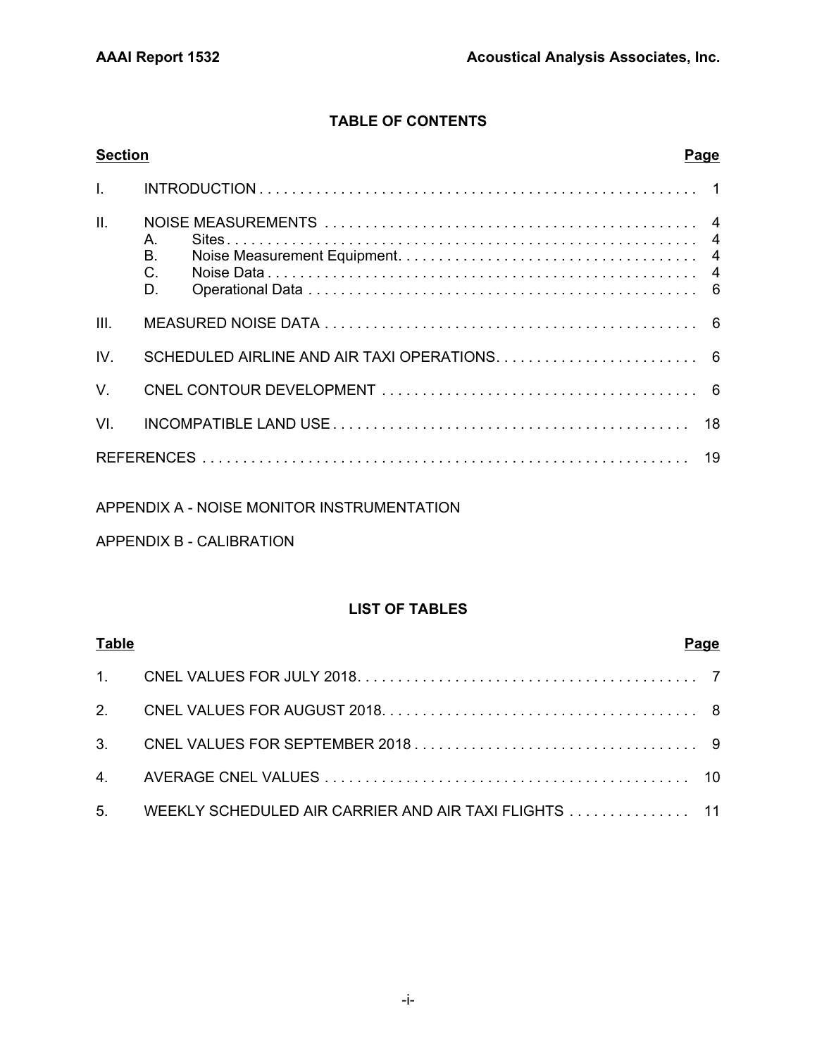# **TABLE OF CONTENTS**

| <b>Section</b>  | <b>Page</b>                  |
|-----------------|------------------------------|
|                 |                              |
| $\mathbf{II}$ . | $A_{1}$<br>Β.<br>$C$ .<br>D. |
| III.            |                              |
| IV.             |                              |
| $V_{\perp}$     |                              |
| VI.             |                              |
|                 |                              |

# APPENDIX A - NOISE MONITOR INSTRUMENTATION

# APPENDIX B - CALIBRATION

# **LIST OF TABLES**

| <b>Table</b> |                                                         | Page |
|--------------|---------------------------------------------------------|------|
|              |                                                         |      |
|              |                                                         |      |
|              |                                                         |      |
|              |                                                         |      |
|              | 5. WEEKLY SCHEDULED AIR CARRIER AND AIR TAXI FLIGHTS 11 |      |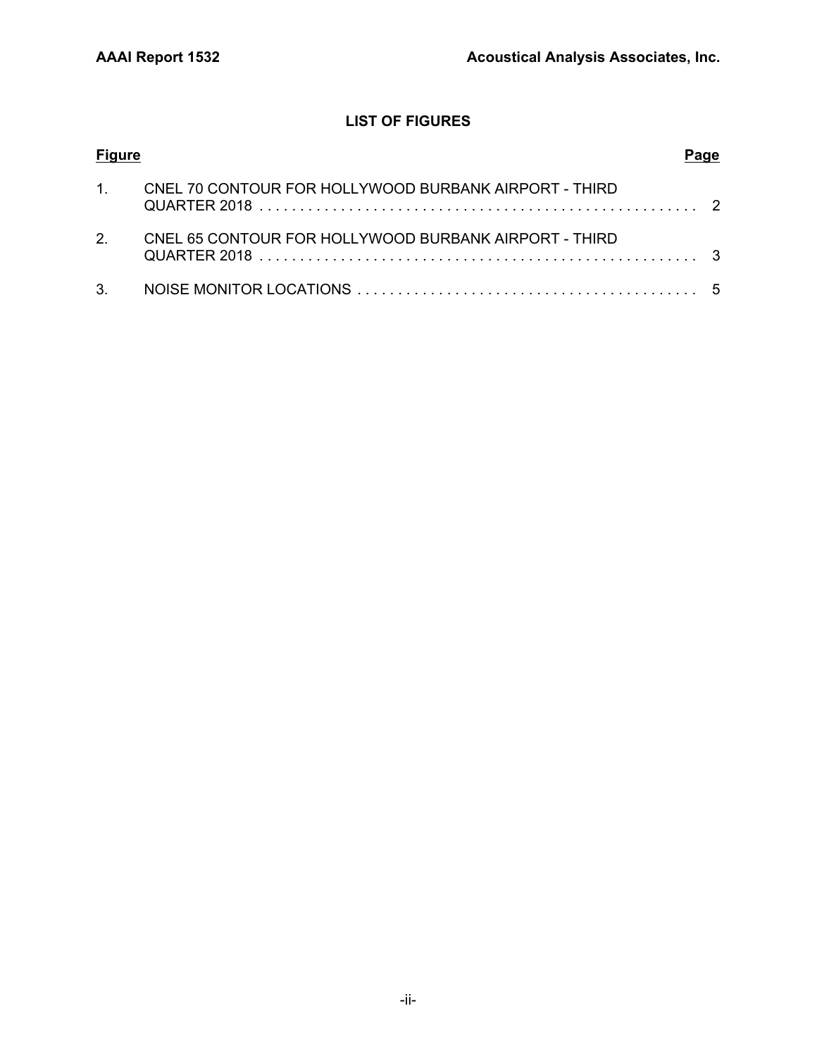# **LIST OF FIGURES**

| <b>Figure</b> |                                                       |  |
|---------------|-------------------------------------------------------|--|
| 1             | CNEL 70 CONTOUR FOR HOLLYWOOD BURBANK AIRPORT - THIRD |  |
| $\mathcal{P}$ | CNEL 65 CONTOUR FOR HOLLYWOOD BURBANK AIRPORT - THIRD |  |
|               |                                                       |  |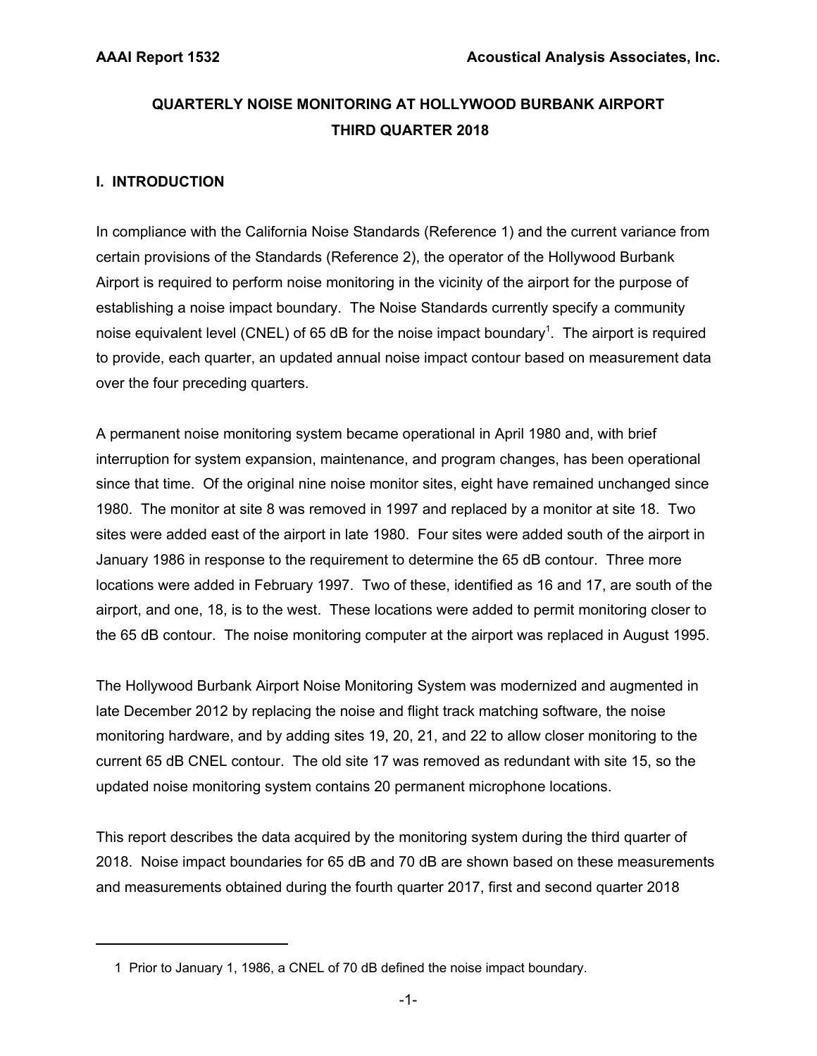# **QUARTERLY NOISE MONITORING AT HOLLYWOOD BURBANK AIRPORT THIRD QUARTER 2018**

# **I. INTRODUCTION**

In compliance with the California Noise Standards (Reference 1) and the current variance from certain provisions of the Standards (Reference 2), the operator of the Hollywood Burbank Airport is required to perform noise monitoring in the vicinity of the airport for the purpose of establishing a noise impact boundary. The Noise Standards currently specify a community noise equivalent level (CNEL) of 65 dB for the noise impact boundary<sup>1</sup>. The airport is required to provide, each quarter, an updated annual noise impact contour based on measurement data over the four preceding quarters.

A permanent noise monitoring system became operational in April 1980 and, with brief interruption for system expansion, maintenance, and program changes, has been operational since that time. Of the original nine noise monitor sites, eight have remained unchanged since 1980. The monitor at site 8 was removed in 1997 and replaced by a monitor at site 18. Two sites were added east of the airport in late 1980. Four sites were added south of the airport in January 1986 in response to the requirement to determine the 65 dB contour. Three more locations were added in February 1997. Two of these, identified as 16 and 17, are south of the airport, and one, 18, is to the west. These locations were added to permit monitoring closer to the 65 dB contour. The noise monitoring computer at the airport was replaced in August 1995.

The Hollywood Burbank Airport Noise Monitoring System was modernized and augmented in late December 2012 by replacing the noise and flight track matching software, the noise monitoring hardware, and by adding sites 19, 20, 21, and 22 to allow closer monitoring to the current 65 dB CNEL contour. The old site 17 was removed as redundant with site 15, so the updated noise monitoring system contains 20 permanent microphone locations.

This report describes the data acquired by the monitoring system during the third quarter of 2018. Noise impact boundaries for 65 dB and 70 dB are shown based on these measurements and measurements obtained during the fourth quarter 2017, first and second quarter 2018

 <sup>1</sup> Prior to January 1, 1986, a CNEL of 70 dB defined the noise impact boundary.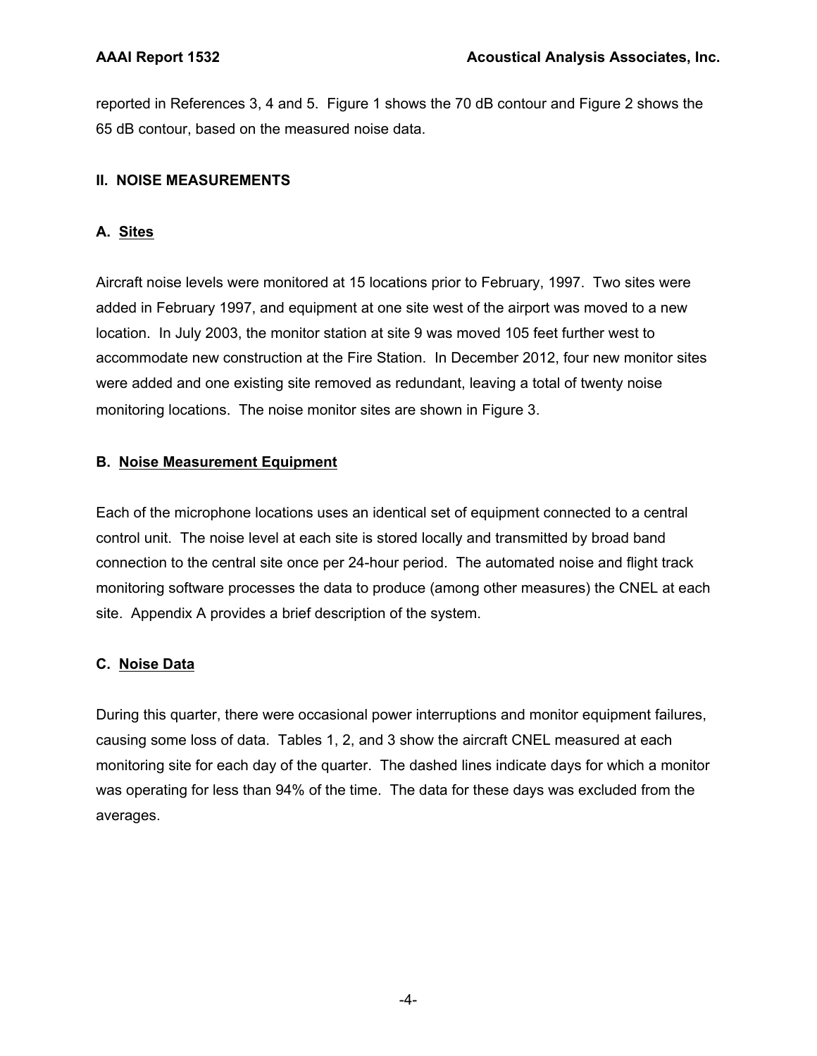reported in References 3, 4 and 5. Figure 1 shows the 70 dB contour and Figure 2 shows the 65 dB contour, based on the measured noise data.

# **II. NOISE MEASUREMENTS**

# **A. Sites**

Aircraft noise levels were monitored at 15 locations prior to February, 1997. Two sites were added in February 1997, and equipment at one site west of the airport was moved to a new location. In July 2003, the monitor station at site 9 was moved 105 feet further west to accommodate new construction at the Fire Station. In December 2012, four new monitor sites were added and one existing site removed as redundant, leaving a total of twenty noise monitoring locations. The noise monitor sites are shown in Figure 3.

# **B. Noise Measurement Equipment**

Each of the microphone locations uses an identical set of equipment connected to a central control unit. The noise level at each site is stored locally and transmitted by broad band connection to the central site once per 24-hour period. The automated noise and flight track monitoring software processes the data to produce (among other measures) the CNEL at each site. Appendix A provides a brief description of the system.

# **C. Noise Data**

During this quarter, there were occasional power interruptions and monitor equipment failures, causing some loss of data. Tables 1, 2, and 3 show the aircraft CNEL measured at each monitoring site for each day of the quarter. The dashed lines indicate days for which a monitor was operating for less than 94% of the time. The data for these days was excluded from the averages.

-4-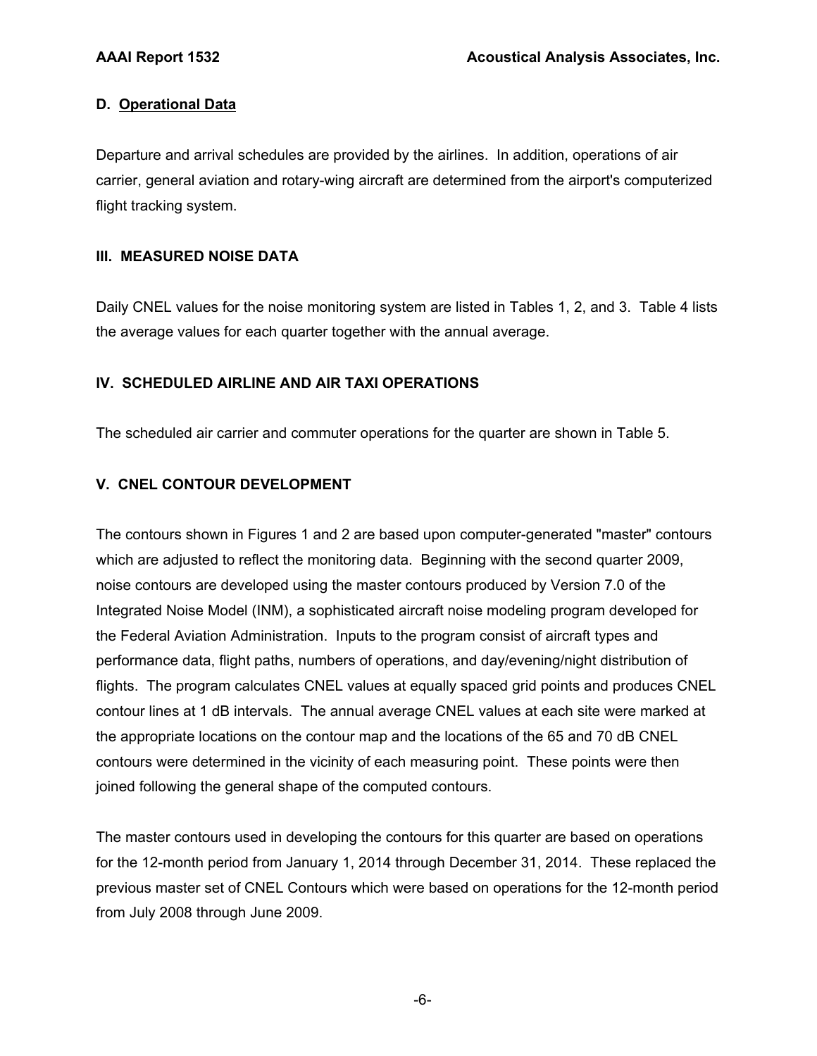## **D. Operational Data**

Departure and arrival schedules are provided by the airlines. In addition, operations of air carrier, general aviation and rotary-wing aircraft are determined from the airport's computerized flight tracking system.

## **III. MEASURED NOISE DATA**

Daily CNEL values for the noise monitoring system are listed in Tables 1, 2, and 3. Table 4 lists the average values for each quarter together with the annual average.

## **IV. SCHEDULED AIRLINE AND AIR TAXI OPERATIONS**

The scheduled air carrier and commuter operations for the quarter are shown in Table 5.

# **V. CNEL CONTOUR DEVELOPMENT**

The contours shown in Figures 1 and 2 are based upon computer-generated "master" contours which are adjusted to reflect the monitoring data. Beginning with the second quarter 2009, noise contours are developed using the master contours produced by Version 7.0 of the Integrated Noise Model (INM), a sophisticated aircraft noise modeling program developed for the Federal Aviation Administration. Inputs to the program consist of aircraft types and performance data, flight paths, numbers of operations, and day/evening/night distribution of flights. The program calculates CNEL values at equally spaced grid points and produces CNEL contour lines at 1 dB intervals. The annual average CNEL values at each site were marked at the appropriate locations on the contour map and the locations of the 65 and 70 dB CNEL contours were determined in the vicinity of each measuring point. These points were then joined following the general shape of the computed contours.

The master contours used in developing the contours for this quarter are based on operations for the 12-month period from January 1, 2014 through December 31, 2014. These replaced the previous master set of CNEL Contours which were based on operations for the 12-month period from July 2008 through June 2009.

-6-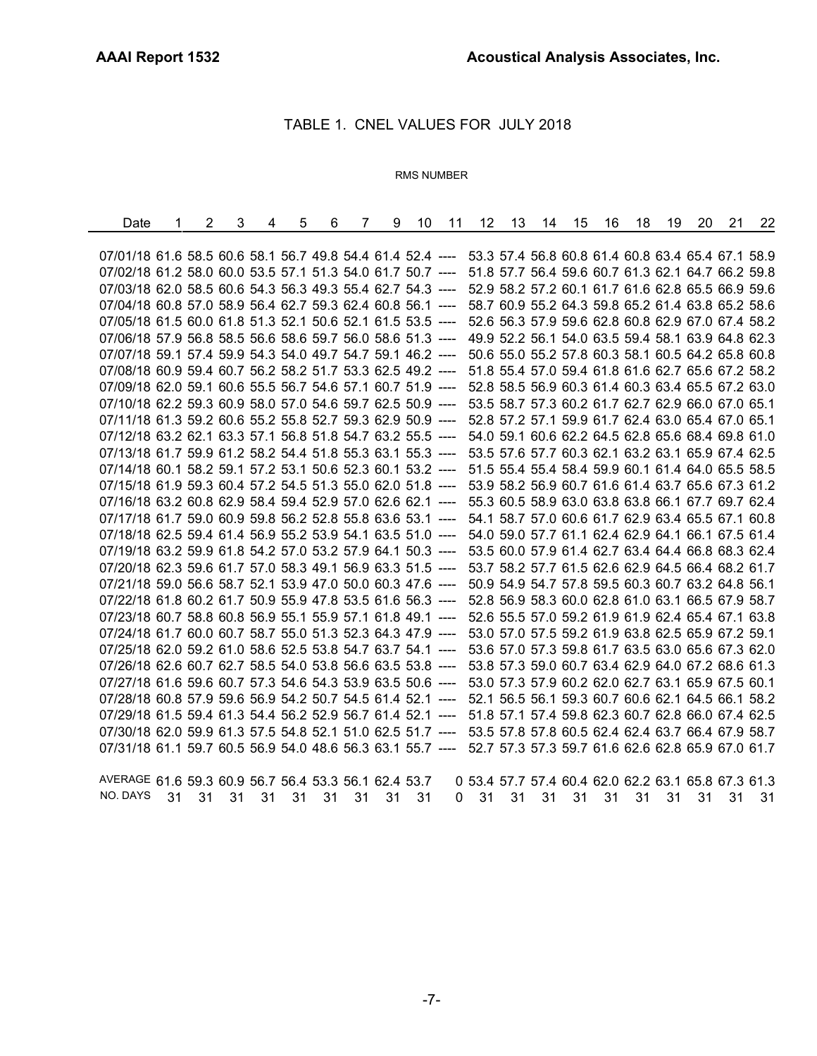÷,

### TABLE 1. CNEL VALUES FOR JULY 2018

#### RMS NUMBER

| Date                                                       | 2 | 3 | 4 | 5 | 6 | 7 | 9 | 10 | 11 | 12 | 13 | 14 | 15 | 16 | 18 | 19 | 20 | 21                                                | 22 |
|------------------------------------------------------------|---|---|---|---|---|---|---|----|----|----|----|----|----|----|----|----|----|---------------------------------------------------|----|
|                                                            |   |   |   |   |   |   |   |    |    |    |    |    |    |    |    |    |    |                                                   |    |
| 07/01/18 61.6 58.5 60.6 58.1 56.7 49.8 54.4 61.4 52.4 ---- |   |   |   |   |   |   |   |    |    |    |    |    |    |    |    |    |    | 53.3 57.4 56.8 60.8 61.4 60.8 63.4 65.4 67.1 58.9 |    |
| 07/02/18 61.2 58.0 60.0 53.5 57.1 51.3 54.0 61.7 50.7 ---- |   |   |   |   |   |   |   |    |    |    |    |    |    |    |    |    |    | 51.8 57.7 56.4 59.6 60.7 61.3 62.1 64.7 66.2 59.8 |    |
| 07/03/18 62.0 58.5 60.6 54.3 56.3 49.3 55.4 62.7 54.3 ---- |   |   |   |   |   |   |   |    |    |    |    |    |    |    |    |    |    | 52.9 58.2 57.2 60.1 61.7 61.6 62.8 65.5 66.9 59.6 |    |
| 07/04/18 60.8 57.0 58.9 56.4 62.7 59.3 62.4 60.8 56.1      |   |   |   |   |   |   |   |    |    |    |    |    |    |    |    |    |    | 58.7 60.9 55.2 64.3 59.8 65.2 61.4 63.8 65.2 58.6 |    |
| 07/05/18 61.5 60.0 61.8 51.3 52.1 50.6 52.1 61.5 53.5 ---- |   |   |   |   |   |   |   |    |    |    |    |    |    |    |    |    |    | 52.6 56.3 57.9 59.6 62.8 60.8 62.9 67.0 67.4 58.2 |    |
| 07/06/18 57.9 56.8 58.5 56.6 58.6 59.7 56.0 58.6 51.3 ---- |   |   |   |   |   |   |   |    |    |    |    |    |    |    |    |    |    | 49.9 52.2 56.1 54.0 63.5 59.4 58.1 63.9 64.8 62.3 |    |
| 07/07/18 59.1 57.4 59.9 54.3 54.0 49.7 54.7 59.1 46.2 ---- |   |   |   |   |   |   |   |    |    |    |    |    |    |    |    |    |    | 50.6 55.0 55.2 57.8 60.3 58.1 60.5 64.2 65.8 60.8 |    |
| 07/08/18 60.9 59.4 60.7 56.2 58.2 51.7 53.3 62.5 49.2 ---- |   |   |   |   |   |   |   |    |    |    |    |    |    |    |    |    |    | 51.8 55.4 57.0 59.4 61.8 61.6 62.7 65.6 67.2 58.2 |    |
| 07/09/18 62.0 59.1 60.6 55.5 56.7 54.6 57.1 60.7 51.9 ---- |   |   |   |   |   |   |   |    |    |    |    |    |    |    |    |    |    | 52.8 58.5 56.9 60.3 61.4 60.3 63.4 65.5 67.2 63.0 |    |
| 07/10/18 62.2 59.3 60.9 58.0 57.0 54.6 59.7 62.5 50.9 ---- |   |   |   |   |   |   |   |    |    |    |    |    |    |    |    |    |    | 53.5 58.7 57.3 60.2 61.7 62.7 62.9 66.0 67.0 65.1 |    |
| 07/11/18 61.3 59.2 60.6 55.2 55.8 52.7 59.3 62.9 50.9 ---- |   |   |   |   |   |   |   |    |    |    |    |    |    |    |    |    |    | 52.8 57.2 57.1 59.9 61.7 62.4 63.0 65.4 67.0 65.1 |    |
| 07/12/18 63.2 62.1 63.3 57.1 56.8 51.8 54.7 63.2 55.5 ---- |   |   |   |   |   |   |   |    |    |    |    |    |    |    |    |    |    | 54.0 59.1 60.6 62.2 64.5 62.8 65.6 68.4 69.8 61.0 |    |
| 07/13/18 61.7 59.9 61.2 58.2 54.4 51.8 55.3 63.1 55.3 ---- |   |   |   |   |   |   |   |    |    |    |    |    |    |    |    |    |    | 53.5 57.6 57.7 60.3 62.1 63.2 63.1 65.9 67.4 62.5 |    |
| 07/14/18 60.1 58.2 59.1 57.2 53.1 50.6 52.3 60.1 53.2 ---- |   |   |   |   |   |   |   |    |    |    |    |    |    |    |    |    |    | 51.5 55.4 55.4 58.4 59.9 60.1 61.4 64.0 65.5 58.5 |    |
| 07/15/18 61.9 59.3 60.4 57.2 54.5 51.3 55.0 62.0 51.8 ---- |   |   |   |   |   |   |   |    |    |    |    |    |    |    |    |    |    | 53.9 58.2 56.9 60.7 61.6 61.4 63.7 65.6 67.3 61.2 |    |
| 07/16/18 63.2 60.8 62.9 58.4 59.4 52.9 57.0 62.6 62.1 ---- |   |   |   |   |   |   |   |    |    |    |    |    |    |    |    |    |    | 55.3 60.5 58.9 63.0 63.8 63.8 66.1 67.7 69.7 62.4 |    |
| 07/17/18 61.7 59.0 60.9 59.8 56.2 52.8 55.8 63.6 53.1      |   |   |   |   |   |   |   |    |    |    |    |    |    |    |    |    |    | 54.1 58.7 57.0 60.6 61.7 62.9 63.4 65.5 67.1 60.8 |    |
| 07/18/18 62.5 59.4 61.4 56.9 55.2 53.9 54.1 63.5 51.0 ---- |   |   |   |   |   |   |   |    |    |    |    |    |    |    |    |    |    | 54.0 59.0 57.7 61.1 62.4 62.9 64.1 66.1 67.5 61.4 |    |
| 07/19/18 63.2 59.9 61.8 54.2 57.0 53.2 57.9 64.1 50.3 ---- |   |   |   |   |   |   |   |    |    |    |    |    |    |    |    |    |    | 53.5 60.0 57.9 61.4 62.7 63.4 64.4 66.8 68.3 62.4 |    |
| 07/20/18 62.3 59.6 61.7 57.0 58.3 49.1 56.9 63.3 51.5 ---- |   |   |   |   |   |   |   |    |    |    |    |    |    |    |    |    |    | 53.7 58.2 57.7 61.5 62.6 62.9 64.5 66.4 68.2 61.7 |    |
| 07/21/18 59.0 56.6 58.7 52.1 53.9 47.0 50.0 60.3 47.6 ---- |   |   |   |   |   |   |   |    |    |    |    |    |    |    |    |    |    | 50.9 54.9 54.7 57.8 59.5 60.3 60.7 63.2 64.8 56.1 |    |
| 07/22/18 61.8 60.2 61.7 50.9 55.9 47.8 53.5 61.6 56.3 ---- |   |   |   |   |   |   |   |    |    |    |    |    |    |    |    |    |    | 52.8 56.9 58.3 60.0 62.8 61.0 63.1 66.5 67.9 58.7 |    |
| 07/23/18 60.7 58.8 60.8 56.9 55.1 55.9 57.1 61.8 49.1 ---- |   |   |   |   |   |   |   |    |    |    |    |    |    |    |    |    |    | 52.6 55.5 57.0 59.2 61.9 61.9 62.4 65.4 67.1 63.8 |    |
| 07/24/18 61.7 60.0 60.7 58.7 55.0 51.3 52.3 64.3 47.9 ---- |   |   |   |   |   |   |   |    |    |    |    |    |    |    |    |    |    | 53.0 57.0 57.5 59.2 61.9 63.8 62.5 65.9 67.2 59.1 |    |
| 07/25/18 62.0 59.2 61.0 58.6 52.5 53.8 54.7 63.7 54.1 ---- |   |   |   |   |   |   |   |    |    |    |    |    |    |    |    |    |    | 53.6 57.0 57.3 59.8 61.7 63.5 63.0 65.6 67.3 62.0 |    |
| 07/26/18 62.6 60.7 62.7 58.5 54.0 53.8 56.6 63.5 53.8 ---- |   |   |   |   |   |   |   |    |    |    |    |    |    |    |    |    |    | 53.8 57.3 59.0 60.7 63.4 62.9 64.0 67.2 68.6 61.3 |    |
| 07/27/18 61.6 59.6 60.7 57.3 54.6 54.3 53.9 63.5 50.6 ---- |   |   |   |   |   |   |   |    |    |    |    |    |    |    |    |    |    | 53.0 57.3 57.9 60.2 62.0 62.7 63.1 65.9 67.5 60.1 |    |
| 07/28/18 60.8 57.9 59.6 56.9 54.2 50.7 54.5 61.4 52.1      |   |   |   |   |   |   |   |    |    |    |    |    |    |    |    |    |    | 52.1 56.5 56.1 59.3 60.7 60.6 62.1 64.5 66.1 58.2 |    |
| 07/29/18 61.5 59.4 61.3 54.4 56.2 52.9 56.7 61.4 52.1      |   |   |   |   |   |   |   |    |    |    |    |    |    |    |    |    |    | 51.8 57.1 57.4 59.8 62.3 60.7 62.8 66.0 67.4 62.5 |    |
| 07/30/18 62.0 59.9 61.3 57.5 54.8 52.1 51.0 62.5 51.7 ---- |   |   |   |   |   |   |   |    |    |    |    |    |    |    |    |    |    | 53.5 57.8 57.8 60.5 62.4 62.4 63.7 66.4 67.9 58.7 |    |
| 07/31/18 61.1 59.7 60.5 56.9 54.0 48.6 56.3 63.1 55.7 ---- |   |   |   |   |   |   |   |    |    |    |    |    |    |    |    |    |    | 52.7 57.3 57.3 59.7 61.6 62.6 62.8 65.9 67.0 61.7 |    |
|                                                            |   |   |   |   |   |   |   |    |    |    |    |    |    |    |    |    |    |                                                   |    |
|                                                            |   |   |   |   |   |   |   |    |    |    |    |    |    |    |    |    |    |                                                   |    |

AVERAGE 61.6 59.3 60.9 56.7 56.4 53.3 56.1 62.4 53.7 0 53.4 57.7 57.4 60.4 62.0 62.2 63.1 65.8 67.3 61.3 NO. DAYS 31 31 31 31 31 31 31 31 31 0 31 31 31 31 31 31 31 31 31 31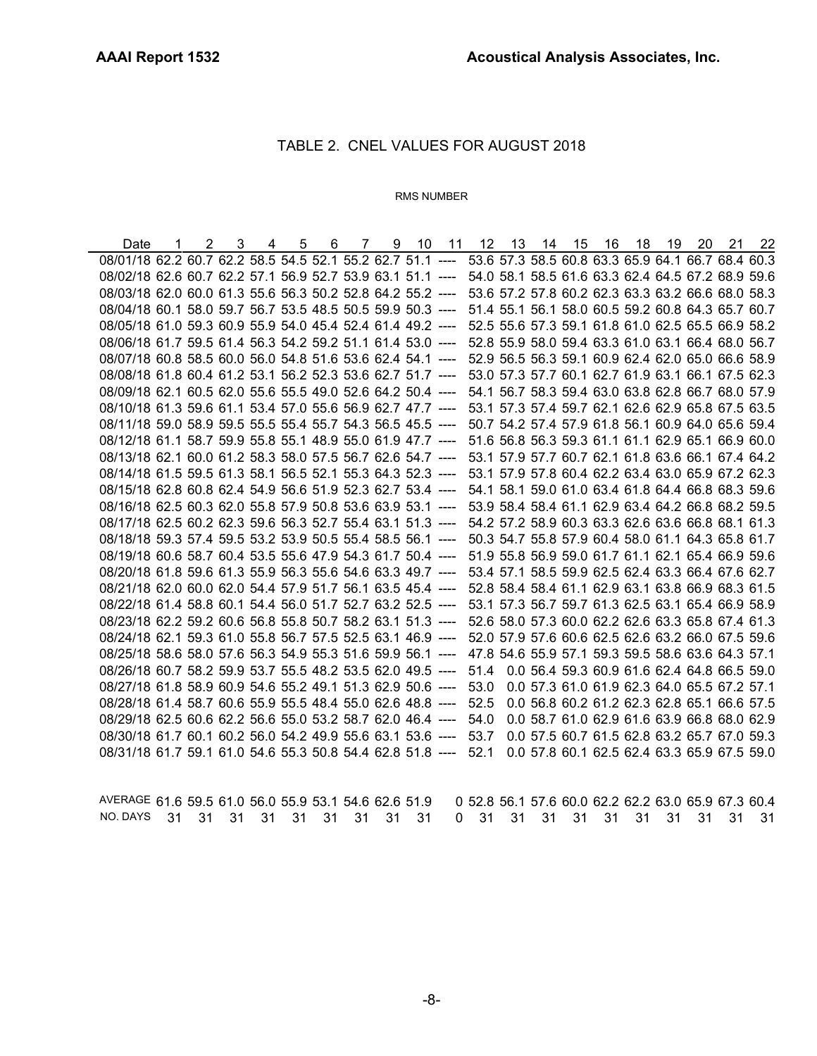# TABLE 2. CNEL VALUES FOR AUGUST 2018

#### RMS NUMBER

| Date                                                                                                         |  | $2 \quad 3$ | 4 |  |  | 5 6 7 9 10 11 12 13 14 15 16 18 19 20 21 22 |  |  |  |  |                                             |
|--------------------------------------------------------------------------------------------------------------|--|-------------|---|--|--|---------------------------------------------|--|--|--|--|---------------------------------------------|
| 08/01/18 62.2 60.7 62.2 58.5 54.5 52.1 55.2 62.7 51.1 ---- 53.6 57.3 58.5 60.8 63.3 65.9 64.1 66.7 68.4 60.3 |  |             |   |  |  |                                             |  |  |  |  |                                             |
| 08/02/18 62.6 60.7 62.2 57.1 56.9 52.7 53.9 63.1 51.1 ---- 54.0 58.1 58.5 61.6 63.3 62.4 64.5 67.2 68.9 59.6 |  |             |   |  |  |                                             |  |  |  |  |                                             |
| 08/03/18 62.0 60.0 61.3 55.6 56.3 50.2 52.8 64.2 55.2 ---- 53.6 57.2 57.8 60.2 62.3 63.3 63.2 66.6 68.0 58.3 |  |             |   |  |  |                                             |  |  |  |  |                                             |
| 08/04/18 60.1 58.0 59.7 56.7 53.5 48.5 50.5 59.9 50.3 ---- 51.4 55.1 56.1 58.0 60.5 59.2 60.8 64.3 65.7 60.7 |  |             |   |  |  |                                             |  |  |  |  |                                             |
| 08/05/18 61.0 59.3 60.9 55.9 54.0 45.4 52.4 61.4 49.2 ---- 52.5 55.6 57.3 59.1 61.8 61.0 62.5 65.5 66.9 58.2 |  |             |   |  |  |                                             |  |  |  |  |                                             |
| 08/06/18 61.7 59.5 61.4 56.3 54.2 59.2 51.1 61.4 53.0 ---- 52.8 55.9 58.0 59.4 63.3 61.0 63.1 66.4 68.0 56.7 |  |             |   |  |  |                                             |  |  |  |  |                                             |
| 08/07/18 60.8 58.5 60.0 56.0 54.8 51.6 53.6 62.4 54.1 ---- 52.9 56.5 56.3 59.1 60.9 62.4 62.0 65.0 66.6 58.9 |  |             |   |  |  |                                             |  |  |  |  |                                             |
| 08/08/18 61.8 60.4 61.2 53.1 56.2 52.3 53.6 62.7 51.7 ---- 53.0 57.3 57.7 60.1 62.7 61.9 63.1 66.1 67.5 62.3 |  |             |   |  |  |                                             |  |  |  |  |                                             |
| 08/09/18 62.1 60.5 62.0 55.6 55.5 49.0 52.6 64.2 50.4 ---- 54.1 56.7 58.3 59.4 63.0 63.8 62.8 66.7 68.0 57.9 |  |             |   |  |  |                                             |  |  |  |  |                                             |
| 08/10/18 61.3 59.6 61.1 53.4 57.0 55.6 56.9 62.7 47.7 ---- 53.1 57.3 57.4 59.7 62.1 62.6 62.9 65.8 67.5 63.5 |  |             |   |  |  |                                             |  |  |  |  |                                             |
| 08/11/18 59.0 58.9 59.5 55.5 55.4 55.7 54.3 56.5 45.5 ---- 50.7 54.2 57.4 57.9 61.8 56.1 60.9 64.0 65.6 59.4 |  |             |   |  |  |                                             |  |  |  |  |                                             |
| 08/12/18 61.1 58.7 59.9 55.8 55.1 48.9 55.0 61.9 47.7 ---- 51.6 56.8 56.3 59.3 61.1 61.1 62.9 65.1 66.9 60.0 |  |             |   |  |  |                                             |  |  |  |  |                                             |
| 08/13/18 62.1 60.0 61.2 58.3 58.0 57.5 56.7 62.6 54.7 ---- 53.1 57.9 57.7 60.7 62.1 61.8 63.6 66.1 67.4 64.2 |  |             |   |  |  |                                             |  |  |  |  |                                             |
| 08/14/18 61.5 59.5 61.3 58.1 56.5 52.1 55.3 64.3 52.3 ---- 53.1 57.9 57.8 60.4 62.2 63.4 63.0 65.9 67.2 62.3 |  |             |   |  |  |                                             |  |  |  |  |                                             |
| 08/15/18 62.8 60.8 62.4 54.9 56.6 51.9 52.3 62.7 53.4 ---- 54.1 58.1 59.0 61.0 63.4 61.8 64.4 66.8 68.3 59.6 |  |             |   |  |  |                                             |  |  |  |  |                                             |
| 08/16/18 62.5 60.3 62.0 55.8 57.9 50.8 53.6 63.9 53.1 ---- 53.9 58.4 58.4 61.1 62.9 63.4 64.2 66.8 68.2 59.5 |  |             |   |  |  |                                             |  |  |  |  |                                             |
| 08/17/18 62.5 60.2 62.3 59.6 56.3 52.7 55.4 63.1 51.3 ---- 54.2 57.2 58.9 60.3 63.3 62.6 63.6 66.8 68.1 61.3 |  |             |   |  |  |                                             |  |  |  |  |                                             |
| 08/18/18 59.3 57.4 59.5 53.2 53.9 50.5 55.4 58.5 56.1 ---- 50.3 54.7 55.8 57.9 60.4 58.0 61.1 64.3 65.8 61.7 |  |             |   |  |  |                                             |  |  |  |  |                                             |
| 08/19/18 60.6 58.7 60.4 53.5 55.6 47.9 54.3 61.7 50.4 ---- 51.9 55.8 56.9 59.0 61.7 61.1 62.1 65.4 66.9 59.6 |  |             |   |  |  |                                             |  |  |  |  |                                             |
| 08/20/18 61.8 59.6 61.3 55.9 56.3 55.6 54.6 63.3 49.7 ---- 53.4 57.1 58.5 59.9 62.5 62.4 63.3 66.4 67.6 62.7 |  |             |   |  |  |                                             |  |  |  |  |                                             |
| 08/21/18 62.0 60.0 62.0 54.4 57.9 51.7 56.1 63.5 45.4 ---- 52.8 58.4 58.4 61.1 62.9 63.1 63.8 66.9 68.3 61.5 |  |             |   |  |  |                                             |  |  |  |  |                                             |
| 08/22/18 61.4 58.8 60.1 54.4 56.0 51.7 52.7 63.2 52.5 ---- 53.1 57.3 56.7 59.7 61.3 62.5 63.1 65.4 66.9 58.9 |  |             |   |  |  |                                             |  |  |  |  |                                             |
| 08/23/18 62.2 59.2 60.6 56.8 55.8 50.7 58.2 63.1 51.3 ---- 52.6 58.0 57.3 60.0 62.2 62.6 63.3 65.8 67.4 61.3 |  |             |   |  |  |                                             |  |  |  |  |                                             |
| 08/24/18 62.1 59.3 61.0 55.8 56.7 57.5 52.5 63.1 46.9 ---- 52.0 57.9 57.6 60.6 62.5 62.6 63.2 66.0 67.5 59.6 |  |             |   |  |  |                                             |  |  |  |  |                                             |
| 08/25/18 58.6 58.0 57.6 56.3 54.9 55.3 51.6 59.9 56.1 ---- 47.8 54.6 55.9 57.1 59.3 59.5 58.6 63.6 64.3 57.1 |  |             |   |  |  |                                             |  |  |  |  |                                             |
| 08/26/18 60.7 58.2 59.9 53.7 55.5 48.2 53.5 62.0 49.5 ---- 51.4 0.0 56.4 59.3 60.9 61.6 62.4 64.8 66.5 59.0  |  |             |   |  |  |                                             |  |  |  |  |                                             |
| 08/27/18 61.8 58.9 60.9 54.6 55.2 49.1 51.3 62.9 50.6 ---- 53.0 0.0 57.3 61.0 61.9 62.3 64.0 65.5 67.2 57.1  |  |             |   |  |  |                                             |  |  |  |  |                                             |
| 08/28/18 61.4 58.7 60.6 55.9 55.5 48.4 55.0 62.6 48.8 ---- 52.5 0.0 56.8 60.2 61.2 62.3 62.8 65.1 66.6 57.5  |  |             |   |  |  |                                             |  |  |  |  |                                             |
| 08/29/18 62.5 60.6 62.2 56.6 55.0 53.2 58.7 62.0 46.4 ---- 54.0                                              |  |             |   |  |  |                                             |  |  |  |  | 0.0 58.7 61.0 62.9 61.6 63.9 66.8 68.0 62.9 |
| 08/30/18 61.7 60.1 60.2 56.0 54.2 49.9 55.6 63.1 53.6 ---- 53.7 0.0 57.5 60.7 61.5 62.8 63.2 65.7 67.0 59.3  |  |             |   |  |  |                                             |  |  |  |  |                                             |
| 08/31/18 61.7 59.1 61.0 54.6 55.3 50.8 54.4 62.8 51.8 ---- 52.1 0.0 57.8 60.1 62.5 62.4 63.3 65.9 67.5 59.0  |  |             |   |  |  |                                             |  |  |  |  |                                             |

| AVERAGE 61.6 59.5 61.0 56.0 55.9 53.1 54.6 62.6 51.9 0 52.8 56.1 57.6 60.0 62.2 62.2 63.0 65.9 67.3 60.4 |  |  |  |  |  |  |  |  |  |  |
|----------------------------------------------------------------------------------------------------------|--|--|--|--|--|--|--|--|--|--|
| NO. DAYS 31 31 31 31 31 31 31 31 31 31 0 31 31 31 31 31 31 31 31 31 31 31                                |  |  |  |  |  |  |  |  |  |  |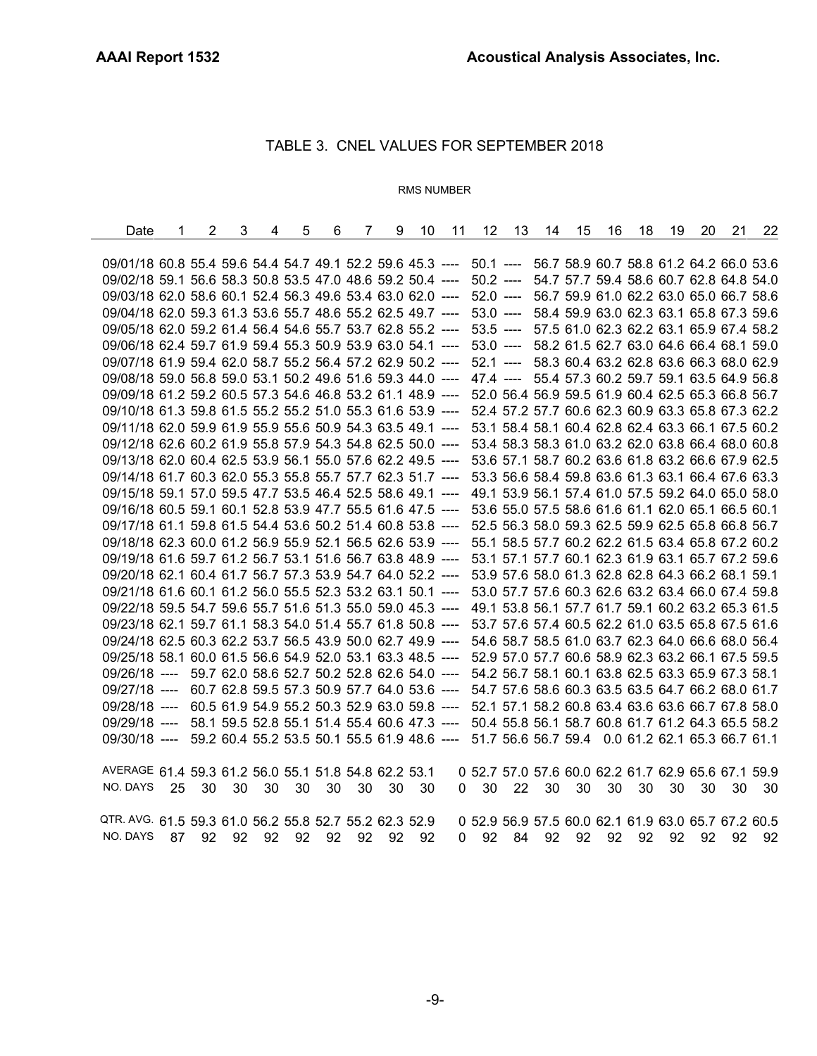# TABLE 3. CNEL VALUES FOR SEPTEMBER 2018

#### RMS NUMBER

| Date                                                                                                         | 1  | $\overline{2}$ | 3  | 4    | 5  | 6  | $\overline{7}$ | 9  | 10 | 11 | $12 \overline{ }$                                                                              | 13   | 14 | 15 | 16   | 18 | 19 | 20 | 21                                                | 22   |
|--------------------------------------------------------------------------------------------------------------|----|----------------|----|------|----|----|----------------|----|----|----|------------------------------------------------------------------------------------------------|------|----|----|------|----|----|----|---------------------------------------------------|------|
|                                                                                                              |    |                |    |      |    |    |                |    |    |    |                                                                                                |      |    |    |      |    |    |    |                                                   |      |
| 09/01/18 60.8 55.4 59.6 54.4 54.7 49.1 52.2 59.6 45.3 ---- 50.1 ---- 56.7 58.9 60.7 58.8 61.2 64.2 66.0 53.6 |    |                |    |      |    |    |                |    |    |    |                                                                                                |      |    |    |      |    |    |    |                                                   |      |
| 09/02/18 59.1 56.6 58.3 50.8 53.5 47.0 48.6 59.2 50.4 ---- 50.2 ---- 54.7 57.7 59.4 58.6 60.7 62.8 64.8 54.0 |    |                |    |      |    |    |                |    |    |    |                                                                                                |      |    |    |      |    |    |    |                                                   |      |
| 09/03/18 62.0 58.6 60.1 52.4 56.3 49.6 53.4 63.0 62.0 ---- 52.0 ---- 56.7 59.9 61.0 62.2 63.0 65.0 66.7 58.6 |    |                |    |      |    |    |                |    |    |    |                                                                                                |      |    |    |      |    |    |    |                                                   |      |
| 09/04/18 62.0 59.3 61.3 53.6 55.7 48.6 55.2 62.5 49.7 ---- 53.0 ---- 58.4 59.9 63.0 62.3 63.1 65.8 67.3 59.6 |    |                |    |      |    |    |                |    |    |    |                                                                                                |      |    |    |      |    |    |    |                                                   |      |
| 09/05/18 62.0 59.2 61.4 56.4 54.6 55.7 53.7 62.8 55.2 ---- 53.5 ---- 57.5 61.0 62.3 62.2 63.1 65.9 67.4 58.2 |    |                |    |      |    |    |                |    |    |    |                                                                                                |      |    |    |      |    |    |    |                                                   |      |
| 09/06/18 62.4 59.7 61.9 59.4 55.3 50.9 53.9 63.0 54.1 ---- 53.0 ---- 58.2 61.5 62.7 63.0 64.6 66.4 68.1 59.0 |    |                |    |      |    |    |                |    |    |    |                                                                                                |      |    |    |      |    |    |    |                                                   |      |
| 09/07/18 61.9 59.4 62.0 58.7 55.2 56.4 57.2 62.9 50.2 ----                                                   |    |                |    |      |    |    |                |    |    |    |                                                                                                |      |    |    |      |    |    |    | 52.1 ---- 58.3 60.4 63.2 62.8 63.6 66.3 68.0 62.9 |      |
| 09/08/18 59.0 56.8 59.0 53.1 50.2 49.6 51.6 59.3 44.0 ---- 47.4 ---- 55.4 57.3 60.2 59.7 59.1 63.5 64.9 56.8 |    |                |    |      |    |    |                |    |    |    |                                                                                                |      |    |    |      |    |    |    |                                                   |      |
| 09/09/18 61.2 59.2 60.5 57.3 54.6 46.8 53.2 61.1 48.9 ----                                                   |    |                |    |      |    |    |                |    |    |    |                                                                                                |      |    |    |      |    |    |    | 52.0 56.4 56.9 59.5 61.9 60.4 62.5 65.3 66.8 56.7 |      |
| 09/10/18 61.3 59.8 61.5 55.2 55.2 51.0 55.3 61.6 53.9 ---- 52.4 57.2 57.7 60.6 62.3 60.9 63.3 65.8 67.3 62.2 |    |                |    |      |    |    |                |    |    |    |                                                                                                |      |    |    |      |    |    |    |                                                   |      |
| 09/11/18 62.0 59.9 61.9 55.9 55.6 50.9 54.3 63.5 49.1 ----                                                   |    |                |    |      |    |    |                |    |    |    |                                                                                                |      |    |    |      |    |    |    | 53.1 58.4 58.1 60.4 62.8 62.4 63.3 66.1 67.5 60.2 |      |
| 09/12/18 62.6 60.2 61.9 55.8 57.9 54.3 54.8 62.5 50.0 ----                                                   |    |                |    |      |    |    |                |    |    |    |                                                                                                |      |    |    |      |    |    |    | 53.4 58.3 58.3 61.0 63.2 62.0 63.8 66.4 68.0 60.8 |      |
| 09/13/18 62.0 60.4 62.5 53.9 56.1 55.0 57.6 62.2 49.5 ----                                                   |    |                |    |      |    |    |                |    |    |    |                                                                                                |      |    |    |      |    |    |    | 53.6 57.1 58.7 60.2 63.6 61.8 63.2 66.6 67.9 62.5 |      |
| 09/14/18 61.7 60.3 62.0 55.3 55.8 55.7 57.7 62.3 51.7 ----                                                   |    |                |    |      |    |    |                |    |    |    |                                                                                                |      |    |    |      |    |    |    | 53.3 56.6 58.4 59.8 63.6 61.3 63.1 66.4 67.6 63.3 |      |
| 09/15/18 59.1 57.0 59.5 47.7 53.5 46.4 52.5 58.6 49.1 ----                                                   |    |                |    |      |    |    |                |    |    |    |                                                                                                |      |    |    |      |    |    |    | 49.1 53.9 56.1 57.4 61.0 57.5 59.2 64.0 65.0 58.0 |      |
| 09/16/18 60.5 59.1 60.1 52.8 53.9 47.7 55.5 61.6 47.5 ----                                                   |    |                |    |      |    |    |                |    |    |    |                                                                                                |      |    |    |      |    |    |    | 53.6 55.0 57.5 58.6 61.6 61.1 62.0 65.1 66.5 60.1 |      |
| 09/17/18 61.1 59.8 61.5 54.4 53.6 50.2 51.4 60.8 53.8 ----                                                   |    |                |    |      |    |    |                |    |    |    |                                                                                                |      |    |    |      |    |    |    | 52.5 56.3 58.0 59.3 62.5 59.9 62.5 65.8 66.8 56.7 |      |
| 09/18/18 62.3 60.0 61.2 56.9 55.9 52.1 56.5 62.6 53.9 ----                                                   |    |                |    |      |    |    |                |    |    |    |                                                                                                |      |    |    |      |    |    |    | 55.1 58.5 57.7 60.2 62.2 61.5 63.4 65.8 67.2 60.2 |      |
| 09/19/18 61.6 59.7 61.2 56.7 53.1 51.6 56.7 63.8 48.9 ----                                                   |    |                |    |      |    |    |                |    |    |    |                                                                                                |      |    |    |      |    |    |    | 53.1 57.1 57.7 60.1 62.3 61.9 63.1 65.7 67.2 59.6 |      |
| 09/20/18 62.1 60.4 61.7 56.7 57.3 53.9 54.7 64.0 52.2 ----                                                   |    |                |    |      |    |    |                |    |    |    |                                                                                                |      |    |    |      |    |    |    | 53.9 57.6 58.0 61.3 62.8 62.8 64.3 66.2 68.1 59.1 |      |
| 09/21/18 61.6 60.1 61.2 56.0 55.5 52.3 53.2 63.1 50.1 ----                                                   |    |                |    |      |    |    |                |    |    |    |                                                                                                |      |    |    |      |    |    |    | 53.0 57.7 57.6 60.3 62.6 63.2 63.4 66.0 67.4 59.8 |      |
| 09/22/18 59.5 54.7 59.6 55.7 51.6 51.3 55.0 59.0 45.3 ----                                                   |    |                |    |      |    |    |                |    |    |    |                                                                                                |      |    |    |      |    |    |    | 49.1 53.8 56.1 57.7 61.7 59.1 60.2 63.2 65.3 61.5 |      |
| 09/23/18 62.1 59.7 61.1 58.3 54.0 51.4 55.7 61.8 50.8 ----                                                   |    |                |    |      |    |    |                |    |    |    |                                                                                                |      |    |    |      |    |    |    | 53.7 57.6 57.4 60.5 62.2 61.0 63.5 65.8 67.5 61.6 |      |
| 09/24/18 62.5 60.3 62.2 53.7 56.5 43.9 50.0 62.7 49.9 ----                                                   |    |                |    |      |    |    |                |    |    |    |                                                                                                |      |    |    |      |    |    |    | 54.6 58.7 58.5 61.0 63.7 62.3 64.0 66.6 68.0 56.4 |      |
| 09/25/18 58.1 60.0 61.5 56.6 54.9 52.0 53.1 63.3 48.5 ----                                                   |    |                |    |      |    |    |                |    |    |    |                                                                                                |      |    |    |      |    |    |    | 52.9 57.0 57.7 60.6 58.9 62.3 63.2 66.1 67.5 59.5 |      |
| 09/26/18 ----                                                                                                |    |                |    |      |    |    |                |    |    |    | 59.7 62.0 58.6 52.7 50.2 52.8 62.6 54.0 ---- 54.2 56.7 58.1 60.1 63.8 62.5 63.3 65.9 67.3 58.1 |      |    |    |      |    |    |    |                                                   |      |
| $09/27/18$ ----                                                                                              |    |                |    |      |    |    |                |    |    |    | 60.7 62.8 59.5 57.3 50.9 57.7 64.0 53.6 ---- 54.7 57.6 58.6 60.3 63.5 63.5 64.7 66.2 68.0 61.7 |      |    |    |      |    |    |    |                                                   |      |
| $09/28/18$ ----                                                                                              |    |                |    |      |    |    |                |    |    |    | 60.5 61.9 54.9 55.2 50.3 52.9 63.0 59.8 ---- 52.1 57.1 58.2 60.8 63.4 63.6 63.6 66.7 67.8 58.0 |      |    |    |      |    |    |    |                                                   |      |
| 09/29/18 ---- 58.1 59.5 52.8 55.1 51.4 55.4 60.6 47.3 ---- 50.4 55.8 56.1 58.7 60.8 61.7 61.2 64.3 65.5 58.2 |    |                |    |      |    |    |                |    |    |    |                                                                                                |      |    |    |      |    |    |    |                                                   |      |
| 09/30/18 ---- 59.2 60.4 55.2 53.5 50.1 55.5 61.9 48.6 --- 51.7 56.6 56.7 59.4 0.0 61.2 62.1 65.3 66.7 61.1   |    |                |    |      |    |    |                |    |    |    |                                                                                                |      |    |    |      |    |    |    |                                                   |      |
|                                                                                                              |    |                |    |      |    |    |                |    |    |    |                                                                                                |      |    |    |      |    |    |    |                                                   |      |
| AVERAGE 61.4 59.3 61.2 56.0 55.1 51.8 54.8 62.2 53.1                                                         |    |                |    |      |    |    |                |    |    |    | 0 52.7 57.0 57.6 60.0 62.2 61.7 62.9 65.6 67.1 59.9                                            |      |    |    |      |    |    |    |                                                   |      |
| NO. DAYS                                                                                                     | 25 | 30             | 30 | - 30 | 30 | 30 | 30             | 30 | 30 |    | 30<br>0.                                                                                       | - 22 | 30 | 30 | - 30 | 30 | 30 | 30 | 30                                                | - 30 |
|                                                                                                              |    |                |    |      |    |    |                |    |    |    |                                                                                                |      |    |    |      |    |    |    |                                                   |      |
| QTR. AVG. 61.5 59.3 61.0 56.2 55.8 52.7 55.2 62.3 52.9                                                       |    |                |    |      |    |    |                |    |    |    | 0 52.9 56.9 57.5 60.0 62.1 61.9 63.0 65.7 67.2 60.5                                            |      |    |    |      |    |    |    |                                                   |      |
| NO. DAYS                                                                                                     | 87 | 92             | 92 | 92   | 92 | 92 | 92             | 92 | 92 | 0  | 92                                                                                             | 84   | 92 | 92 | 92   | 92 | 92 | 92 | 92                                                | - 92 |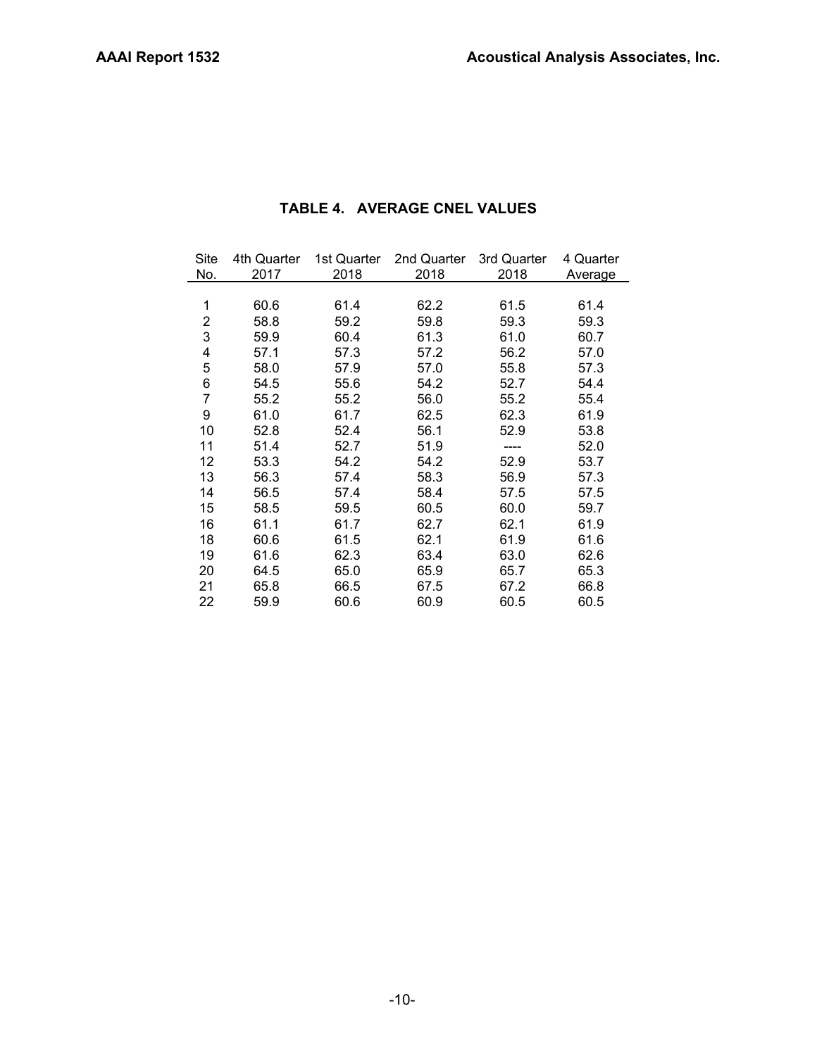| Site           | 4th Quarter | 1st Quarter | 2nd Quarter | 3rd Quarter | 4 Quarter |
|----------------|-------------|-------------|-------------|-------------|-----------|
| No.            | 2017        | 2018        | 2018        | 2018        | Average   |
|                |             |             |             |             |           |
| 1              | 60.6        | 61.4        | 62.2        | 61.5        | 61.4      |
| $\overline{2}$ | 58.8        | 59.2        | 59.8        | 59.3        | 59.3      |
| 3              | 59.9        | 60.4        | 61.3        | 61.0        | 60.7      |
| 4              | 57.1        | 57.3        | 57.2        | 56.2        | 57.0      |
| 5              | 58.0        | 57.9        | 57.0        | 55.8        | 57.3      |
| 6              | 54.5        | 55.6        | 54.2        | 52.7        | 54.4      |
| 7              | 55.2        | 55.2        | 56.0        | 55.2        | 55.4      |
| 9              | 61.0        | 61.7        | 62.5        | 62.3        | 61.9      |
| 10             | 52.8        | 52.4        | 56.1        | 52.9        | 53.8      |
| 11             | 51.4        | 52.7        | 51.9        |             | 52.0      |
| 12             | 53.3        | 54.2        | 54.2        | 52.9        | 53.7      |
| 13             | 56.3        | 57.4        | 58.3        | 56.9        | 57.3      |
| 14             | 56.5        | 57.4        | 58.4        | 57.5        | 57.5      |
| 15             | 58.5        | 59.5        | 60.5        | 60.0        | 59.7      |
| 16             | 61.1        | 61.7        | 62.7        | 62.1        | 61.9      |
| 18             | 60.6        | 61.5        | 62.1        | 61.9        | 61.6      |
| 19             | 61.6        | 62.3        | 63.4        | 63.0        | 62.6      |
| 20             | 64.5        | 65.0        | 65.9        | 65.7        | 65.3      |
| 21             | 65.8        | 66.5        | 67.5        | 67.2        | 66.8      |
| 22             | 59.9        | 60.6        | 60.9        | 60.5        | 60.5      |

# **TABLE 4. AVERAGE CNEL VALUES**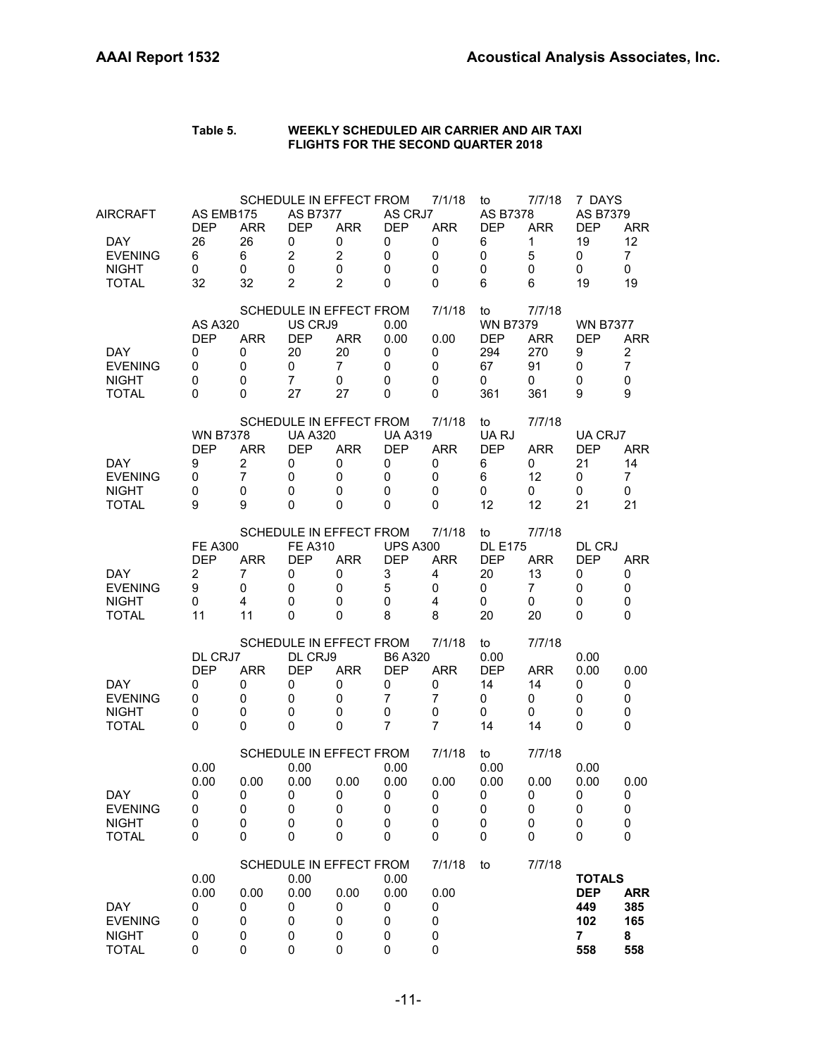| Table 5. | WEEKLY SCHEDULED AIR CARRIER AND AIR TAXI  |
|----------|--------------------------------------------|
|          | <b>FLIGHTS FOR THE SECOND QUARTER 2018</b> |

| AIRCRAFT<br><b>DAY</b><br><b>EVENING</b><br><b>NIGHT</b><br><b>TOTAL</b> | AS EMB175<br><b>DEP</b><br>26<br>6<br>0<br>32                  | <b>ARR</b><br>26<br>6<br>0<br>32            | <b>AS B7377</b><br><b>DEP</b><br>0<br>$\overline{c}$<br>0<br>$\overline{2}$ | SCHEDULE IN EFFECT FROM<br><b>ARR</b><br>0<br>$\overline{c}$<br>0<br>2   | AS CRJ7<br><b>DEP</b><br>0<br>$\mathbf 0$<br>0<br>$\Omega$          | 7/1/18<br><b>ARR</b><br>0<br>$\mathbf 0$<br>0<br>0 | to<br><b>AS B7378</b><br><b>DEP</b><br>6<br>$\mathbf 0$<br>0<br>6 | 7/7/18<br><b>ARR</b><br>1<br>5<br>0<br>6      | 7 DAYS<br>AS B7379<br><b>DEP</b><br>19<br>0<br>0<br>19             | <b>ARR</b><br>12<br>$\overline{7}$<br>0<br>19            |
|--------------------------------------------------------------------------|----------------------------------------------------------------|---------------------------------------------|-----------------------------------------------------------------------------|--------------------------------------------------------------------------|---------------------------------------------------------------------|----------------------------------------------------|-------------------------------------------------------------------|-----------------------------------------------|--------------------------------------------------------------------|----------------------------------------------------------|
| DAY.<br><b>EVENING</b><br><b>NIGHT</b><br><b>TOTAL</b>                   | <b>AS A320</b><br><b>DEP</b><br>0<br>0<br>0<br>0               | <b>ARR</b><br>0<br>0<br>0<br>0              | US CRJ9<br><b>DEP</b><br>20<br>0<br>$\overline{7}$<br>27                    | SCHEDULE IN EFFECT FROM<br><b>ARR</b><br>20<br>$\overline{7}$<br>0<br>27 | 0.00<br>0.00<br>0<br>0<br>0<br>0                                    | 7/1/18<br>0.00<br>0<br>0<br>0<br>0                 | to<br><b>WN B7379</b><br><b>DEP</b><br>294<br>67<br>0<br>361      | 7/7/18<br><b>ARR</b><br>270<br>91<br>0<br>361 | <b>WN B7377</b><br><b>DEP</b><br>9<br>0<br>0<br>9                  | <b>ARR</b><br>$\overline{c}$<br>$\overline{7}$<br>0<br>9 |
| DAY.<br><b>EVENING</b><br><b>NIGHT</b><br><b>TOTAL</b>                   | <b>WN B7378</b><br><b>DEP</b><br>9<br>0<br>0<br>9              | <b>ARR</b><br>2<br>$\overline{7}$<br>0<br>9 | <b>UA A320</b><br><b>DEP</b><br>0<br>0<br>0<br>0                            | SCHEDULE IN EFFECT FROM<br><b>ARR</b><br>0<br>0<br>0<br>0                | <b>UA A319</b><br><b>DEP</b><br>0<br>0<br>$\mathbf 0$<br>0          | 7/1/18<br><b>ARR</b><br>0<br>0<br>0<br>0           | to<br>UA RJ<br><b>DEP</b><br>6<br>6<br>0<br>12                    | 7/7/18<br><b>ARR</b><br>0<br>12<br>0<br>12    | UA CRJ7<br><b>DEP</b><br>21<br>0<br>0<br>21                        | <b>ARR</b><br>14<br>$\overline{7}$<br>0<br>21            |
| <b>DAY</b><br><b>EVENING</b><br><b>NIGHT</b><br><b>TOTAL</b>             | <b>FE A300</b><br><b>DEP</b><br>$\overline{c}$<br>9<br>0<br>11 | <b>ARR</b><br>7<br>0<br>4<br>11             | <b>FE A310</b><br><b>DEP</b><br>0<br>0<br>0<br>0                            | SCHEDULE IN EFFECT FROM<br><b>ARR</b><br>0<br>0<br>0<br>0                | <b>UPS A300</b><br><b>DEP</b><br>3<br>5<br>$\mathbf 0$<br>8         | 7/1/18<br><b>ARR</b><br>4<br>0<br>4<br>8           | to<br><b>DL E175</b><br><b>DEP</b><br>20<br>0<br>0<br>20          | 7/7/18<br><b>ARR</b><br>13<br>7<br>0<br>20    | DL CRJ<br><b>DEP</b><br>0<br>0<br>0<br>0                           | <b>ARR</b><br>0<br>0<br>0<br>0                           |
| DAY.<br><b>EVENING</b><br><b>NIGHT</b><br><b>TOTAL</b>                   | DL CRJ7<br><b>DEP</b><br>0<br>0<br>0<br>0                      | <b>ARR</b><br>0<br>0<br>0<br>0              | DL CRJ9<br><b>DEP</b><br>0<br>0<br>0<br>0                                   | SCHEDULE IN EFFECT FROM<br><b>ARR</b><br>0<br>0<br>0<br>0                | B6 A320<br><b>DEP</b><br>0<br>$\overline{7}$<br>0<br>$\overline{7}$ | 7/1/18<br><b>ARR</b><br>0<br>7<br>0<br>7           | to<br>0.00<br><b>DEP</b><br>14<br>0<br>0<br>14                    | 7/7/18<br>ARR<br>14<br>0<br>0<br>14           | 0.00<br>0.00<br>0<br>0<br>0<br>0                                   | 0.00<br>0<br>0<br>0<br>0                                 |
| DAY<br><b>EVENING</b><br><b>NIGHT</b><br><b>TOTAL</b>                    | 0.00<br>0.00<br>0<br>0<br>0<br>0                               | 0.00<br>U<br>0<br>0<br>0                    | 0.00<br>0.00<br>0<br>0<br>0<br>0                                            | SCHEDULE IN EFFECT FROM<br>0.00<br>O<br>0<br>0<br>0                      | 0.00<br>0.00<br>0<br>0<br>0<br>0                                    | 7/1/18<br>0.00<br>U<br>0<br>0<br>0                 | to<br>0.00<br>0.00<br>0<br>0<br>0<br>0                            | 7/7/18<br>0.00<br>U<br>0<br>0<br>0            | 0.00<br>0.00<br>0<br>0<br>0<br>0                                   | 0.00<br>U<br>0<br>0<br>0                                 |
| <b>DAY</b><br><b>EVENING</b><br><b>NIGHT</b><br><b>TOTAL</b>             | 0.00<br>0.00<br>0<br>0<br>0<br>0                               | 0.00<br>0<br>$\pmb{0}$<br>0<br>$\mathbf 0$  | 0.00<br>0.00<br>0<br>0<br>0<br>0                                            | SCHEDULE IN EFFECT FROM<br>0.00<br>0<br>0<br>0<br>0                      | 0.00<br>0.00<br>0<br>0<br>0<br>0                                    | 7/1/18<br>0.00<br>0<br>0<br>0<br>0                 | to                                                                | 7/7/18                                        | <b>TOTALS</b><br><b>DEP</b><br>449<br>102<br>$\overline{7}$<br>558 | <b>ARR</b><br>385<br>165<br>8<br>558                     |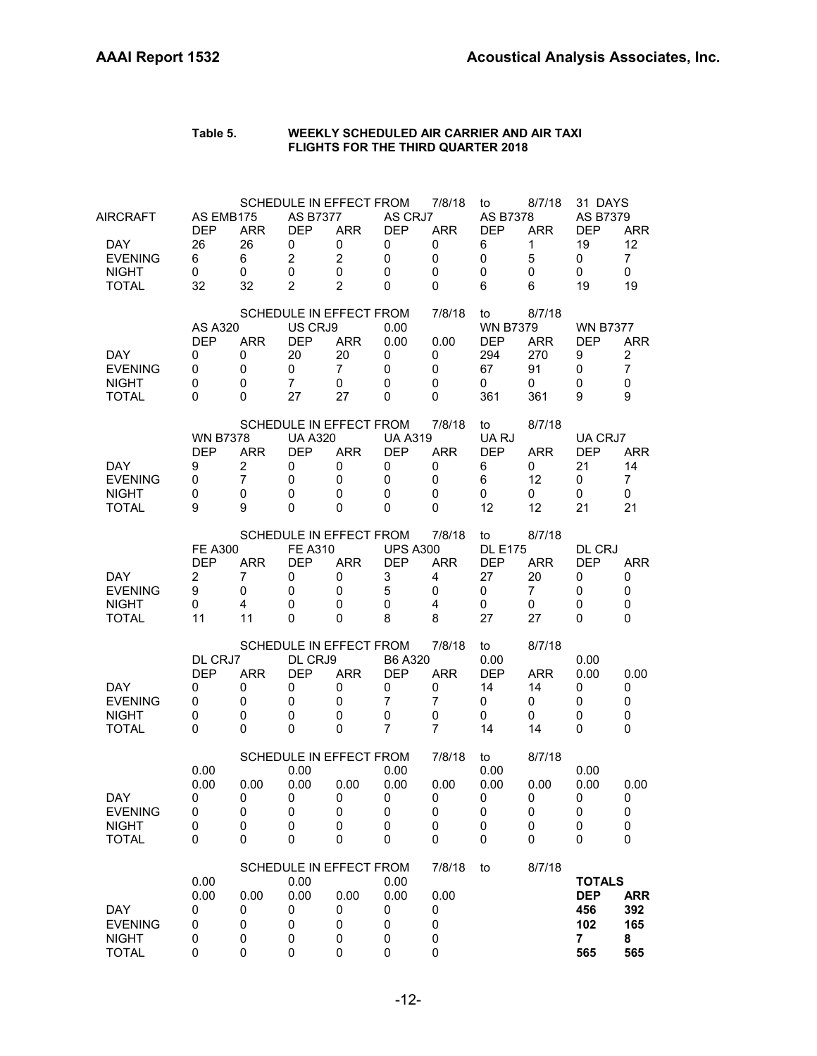| AIRCRAFT                                                     | AS EMB175<br><b>DEP</b>                                        | <b>ARR</b>                                   | <b>AS B7377</b><br><b>DEP</b>                            | SCHEDULE IN EFFECT FROM<br><b>ARR</b>                                    | AS CRJ7<br><b>DEP</b>                                               | 7/8/18<br><b>ARR</b>                                               | to<br>AS B7378<br><b>DEP</b>                                 | 8/7/18<br><b>ARR</b>                          | 31 DAYS<br>AS B7379<br><b>DEP</b>                                  | <b>ARR</b>                                               |
|--------------------------------------------------------------|----------------------------------------------------------------|----------------------------------------------|----------------------------------------------------------|--------------------------------------------------------------------------|---------------------------------------------------------------------|--------------------------------------------------------------------|--------------------------------------------------------------|-----------------------------------------------|--------------------------------------------------------------------|----------------------------------------------------------|
| <b>DAY</b><br><b>EVENING</b><br><b>NIGHT</b><br><b>TOTAL</b> | 26<br>6<br>0<br>32                                             | 26<br>6<br>0<br>32                           | 0<br>$\overline{c}$<br>$\mathbf 0$<br>$\overline{2}$     | 0<br>$\overline{c}$<br>0<br>$\overline{2}$                               | 0<br>0<br>0<br>$\Omega$                                             | 0<br>0<br>$\mathbf 0$<br>0                                         | 6<br>$\mathbf 0$<br>0<br>6                                   | 1<br>5<br>0<br>6                              | 19<br>0<br>0<br>19                                                 | 12<br>$\overline{7}$<br>0<br>19                          |
| DAY.<br><b>EVENING</b><br><b>NIGHT</b><br><b>TOTAL</b>       | <b>AS A320</b><br><b>DEP</b><br>0<br>0<br>0<br>0               | <b>ARR</b><br>0<br>0<br>0<br>0               | US CRJ9<br><b>DEP</b><br>20<br>0<br>$\overline{7}$<br>27 | SCHEDULE IN EFFECT FROM<br><b>ARR</b><br>20<br>$\overline{7}$<br>0<br>27 | 0.00<br>0.00<br>0<br>0<br>0<br>0                                    | 7/8/18<br>0.00<br>0<br>0<br>0<br>0                                 | to<br><b>WN B7379</b><br><b>DEP</b><br>294<br>67<br>0<br>361 | 8/7/18<br><b>ARR</b><br>270<br>91<br>0<br>361 | <b>WN B7377</b><br><b>DEP</b><br>9<br>0<br>0<br>9                  | <b>ARR</b><br>$\overline{c}$<br>$\overline{7}$<br>0<br>9 |
| DAY.<br><b>EVENING</b><br><b>NIGHT</b><br><b>TOTAL</b>       | <b>WN B7378</b><br><b>DEP</b><br>9<br>0<br>0<br>9              | <b>ARR</b><br>$\overline{2}$<br>7<br>0<br>9  | <b>UA A320</b><br><b>DEP</b><br>0<br>0<br>0<br>0         | SCHEDULE IN EFFECT FROM<br><b>ARR</b><br>0<br>0<br>0<br>0                | <b>UA A319</b><br><b>DEP</b><br>0<br>0<br>0<br>0                    | 7/8/18<br><b>ARR</b><br>0<br>0<br>0<br>0                           | to<br>UA RJ<br><b>DEP</b><br>6<br>6<br>0<br>12               | 8/7/18<br><b>ARR</b><br>0<br>12<br>0<br>12    | UA CRJ7<br><b>DEP</b><br>21<br>0<br>0<br>21                        | <b>ARR</b><br>14<br>7<br>0<br>21                         |
| <b>DAY</b><br><b>EVENING</b><br><b>NIGHT</b><br>TOTAL        | <b>FE A300</b><br><b>DEP</b><br>$\overline{c}$<br>9<br>0<br>11 | <b>ARR</b><br>7<br>0<br>$\overline{4}$<br>11 | <b>FE A310</b><br><b>DEP</b><br>0<br>0<br>0<br>0         | SCHEDULE IN EFFECT FROM<br><b>ARR</b><br>0<br>0<br>0<br>0                | <b>UPS A300</b><br><b>DEP</b><br>3<br>5<br>0<br>8                   | 7/8/18<br><b>ARR</b><br>4<br>0<br>$\overline{4}$<br>8              | to<br><b>DL E175</b><br><b>DEP</b><br>27<br>0<br>0<br>27     | 8/7/18<br><b>ARR</b><br>20<br>7<br>0<br>27    | DL CRJ<br><b>DEP</b><br>0<br>0<br>0<br>0                           | <b>ARR</b><br>0<br>0<br>0<br>0                           |
| DAY.<br><b>EVENING</b><br><b>NIGHT</b><br><b>TOTAL</b>       | DL CRJ7<br><b>DEP</b><br>0<br>0<br>0<br>0                      | <b>ARR</b><br>0<br>0<br>$\mathbf 0$<br>0     | DL CRJ9<br><b>DEP</b><br>0<br>0<br>0<br>0                | SCHEDULE IN EFFECT FROM<br><b>ARR</b><br>0<br>0<br>0<br>0                | B6 A320<br><b>DEP</b><br>0<br>$\overline{7}$<br>0<br>$\overline{7}$ | 7/8/18<br><b>ARR</b><br>0<br>$\overline{7}$<br>0<br>$\overline{7}$ | to<br>0.00<br><b>DEP</b><br>14<br>0<br>0<br>14               | 8/7/18<br>ARR<br>14<br>0<br>0<br>14           | 0.00<br>0.00<br>0<br>0<br>0<br>0                                   | 0.00<br>0<br>0<br>0<br>0                                 |
| DAY<br><b>EVENING</b><br><b>NIGHT</b><br><b>TOTAL</b>        | 0.00<br>0.00<br>0<br>0<br>0<br>0                               | 0.00<br>U<br>$\pmb{0}$<br>0<br>$\mathbf 0$   | 0.00<br>0.00<br>0<br>0<br>0<br>0                         | SCHEDULE IN EFFECT FROM<br>0.00<br>0<br>0<br>0<br>0                      | 0.00<br>0.00<br>0<br>0<br>0<br>$\mathbf 0$                          | 7/8/18<br>0.00<br>0<br>$\pmb{0}$<br>0<br>0                         | to<br>0.00<br>0.00<br>0<br>$\pmb{0}$<br>0<br>0               | 8/7/18<br>0.00<br>0<br>0<br>0<br>0            | 0.00<br>0.00<br>0<br>0<br>0<br>0                                   | 0.00<br>U<br>$\pmb{0}$<br>0<br>0                         |
| <b>DAY</b><br><b>EVENING</b><br><b>NIGHT</b><br><b>TOTAL</b> | 0.00<br>0.00<br>0<br>0<br>0<br>0                               | 0.00<br>0<br>$\pmb{0}$<br>0<br>$\mathbf 0$   | 0.00<br>0.00<br>0<br>0<br>0<br>0                         | SCHEDULE IN EFFECT FROM<br>0.00<br>0<br>0<br>0<br>0                      | 0.00<br>0.00<br>0<br>0<br>0<br>0                                    | 7/8/18<br>0.00<br>0<br>0<br>0<br>0                                 | to                                                           | 8/7/18                                        | <b>TOTALS</b><br><b>DEP</b><br>456<br>102<br>$\overline{7}$<br>565 | <b>ARR</b><br>392<br>165<br>8<br>565                     |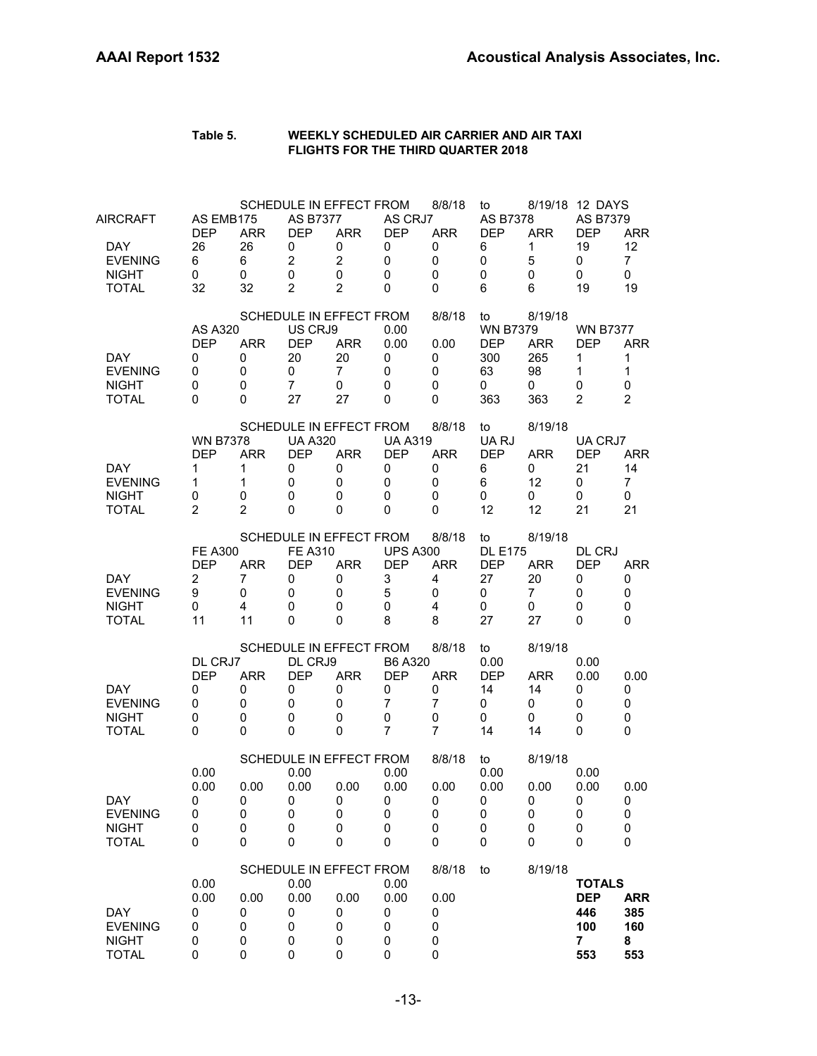| Table 5. | WEEKLY SCHEDULED AIR CARRIER AND AIR TAXI |
|----------|-------------------------------------------|
|          | <b>FLIGHTS FOR THE THIRD QUARTER 2018</b> |

| AIRCRAFT<br><b>DAY</b><br><b>EVENING</b><br><b>NIGHT</b><br><b>TOTAL</b> | AS EMB175<br><b>DEP</b><br>26<br>6<br>0<br>32                  | <b>ARR</b><br>26<br>6<br>0<br>32         | SCHEDULE IN EFFECT FROM<br><b>AS B7377</b><br><b>DEP</b><br>0<br>$\overline{c}$<br>0<br>$\overline{2}$ | <b>ARR</b><br>0<br>$\overline{2}$<br>0<br>$\overline{2}$ | AS CRJ7<br><b>DEP</b><br>0<br>$\mathbf 0$<br>0<br>0                 | 8/8/18<br><b>ARR</b><br>0<br>0<br>$\mathbf 0$<br>0                 | to<br><b>AS B7378</b><br><b>DEP</b><br>6<br>0<br>0<br>6      | <b>ARR</b><br>1<br>5<br>$\mathbf 0$<br>6      | 8/19/18 12 DAYS<br>AS B7379<br><b>DEP</b><br>19<br>0<br>0<br>19           | <b>ARR</b><br>12<br>$\overline{7}$<br>0<br>19          |
|--------------------------------------------------------------------------|----------------------------------------------------------------|------------------------------------------|--------------------------------------------------------------------------------------------------------|----------------------------------------------------------|---------------------------------------------------------------------|--------------------------------------------------------------------|--------------------------------------------------------------|-----------------------------------------------|---------------------------------------------------------------------------|--------------------------------------------------------|
| <b>DAY</b><br><b>EVENING</b><br><b>NIGHT</b><br><b>TOTAL</b>             | <b>AS A320</b><br><b>DEP</b><br>0<br>0<br>0<br>0               | <b>ARR</b><br>0<br>0<br>0<br>0           | SCHEDULE IN EFFECT FROM<br>US CRJ9<br><b>DEP</b><br>20<br>0<br>$\overline{7}$<br>27                    | <b>ARR</b><br>20<br>$\overline{7}$<br>0<br>27            | 0.00<br>0.00<br>0<br>0<br>0<br>0                                    | 8/8/18<br>0.00<br>0<br>0<br>0<br>0                                 | to<br><b>WN B7379</b><br><b>DEP</b><br>300<br>63<br>0<br>363 | 8/19/18<br>ARR<br>265<br>98<br>0<br>363       | <b>WN B7377</b><br><b>DEP</b><br>1<br>$\mathbf{1}$<br>0<br>$\overline{2}$ | <b>ARR</b><br>1<br>$\mathbf{1}$<br>0<br>$\overline{2}$ |
| <b>DAY</b><br><b>EVENING</b><br><b>NIGHT</b><br><b>TOTAL</b>             | <b>WN B7378</b><br><b>DEP</b><br>1<br>1<br>0<br>$\overline{2}$ | <b>ARR</b><br>1<br>1<br>0<br>2           | SCHEDULE IN EFFECT FROM<br><b>UA A320</b><br><b>DEP</b><br>0<br>0<br>0<br>0                            | <b>ARR</b><br>0<br>0<br>0<br>0                           | <b>UA A319</b><br><b>DEP</b><br>0<br>$\mathbf 0$<br>0<br>$\Omega$   | 8/8/18<br><b>ARR</b><br>0<br>$\mathbf 0$<br>0<br>0                 | to<br>UA RJ<br><b>DEP</b><br>6<br>6<br>0<br>12               | 8/19/18<br><b>ARR</b><br>0<br>12<br>0<br>12   | UA CRJ7<br><b>DEP</b><br>21<br>0<br>0<br>21                               | ARR<br>14<br>$\overline{7}$<br>0<br>21                 |
| <b>DAY</b><br><b>EVENING</b><br><b>NIGHT</b><br><b>TOTAL</b>             | <b>FE A300</b><br><b>DEP</b><br>$\overline{c}$<br>9<br>0<br>11 | <b>ARR</b><br>7<br>0<br>4<br>11          | <b>SCHEDULE IN EFFECT FROM</b><br><b>FE A310</b><br><b>DEP</b><br>0<br>0<br>0<br>0                     | <b>ARR</b><br>0<br>0<br>0<br>0                           | <b>UPS A300</b><br><b>DEP</b><br>3<br>5<br>$\mathbf 0$<br>8         | 8/8/18<br><b>ARR</b><br>$\overline{4}$<br>0<br>4<br>8              | to<br><b>DL E175</b><br><b>DEP</b><br>27<br>0<br>0<br>27     | 8/19/18<br><b>ARR</b><br>20<br>7<br>0<br>27   | DL CRJ<br><b>DEP</b><br>0<br>0<br>0<br>0                                  | <b>ARR</b><br>0<br>0<br>0<br>0                         |
| DAY.<br><b>EVENING</b><br><b>NIGHT</b><br><b>TOTAL</b>                   | DL CRJ7<br><b>DEP</b><br>0<br>0<br>0<br>0                      | <b>ARR</b><br>0<br>0<br>0<br>0           | SCHEDULE IN EFFECT FROM<br>DL CRJ9<br><b>DEP</b><br>0<br>0<br>0<br>0                                   | <b>ARR</b><br>0<br>0<br>0<br>$\mathbf 0$                 | B6 A320<br><b>DEP</b><br>0<br>$\overline{7}$<br>0<br>$\overline{7}$ | 8/8/18<br><b>ARR</b><br>0<br>$\overline{7}$<br>0<br>$\overline{7}$ | to<br>0.00<br><b>DEP</b><br>14<br>0<br>0<br>14               | 8/19/18<br><b>ARR</b><br>14<br>0<br>0<br>14   | 0.00<br>0.00<br>0<br>0<br>$\mathbf 0$<br>0                                | 0.00<br>0<br>0<br>0<br>0                               |
| <b>DAY</b><br><b>EVENING</b><br><b>NIGHT</b><br><b>TOTAL</b>             | 0.00<br>0.00<br>0<br>0<br>0<br>0                               | 0.00<br>$\pmb{0}$<br>0<br>$\pmb{0}$<br>0 | SCHEDULE IN EFFECT FROM<br>0.00<br>0.00<br>$\boldsymbol{0}$<br>0<br>$\pmb{0}$<br>0                     | 0.00<br>0<br>$\mathbf 0$<br>0<br>$\mathbf 0$             | 0.00<br>0.00<br>0<br>0<br>0<br>0                                    | 8/8/18<br>0.00<br>$\pmb{0}$<br>0<br>0<br>0                         | to<br>0.00<br>0.00<br>0<br>0<br>0<br>0                       | 8/19/18<br>0.00<br>0<br>0<br>0<br>$\mathbf 0$ | 0.00<br>0.00<br>0<br>0<br>0<br>0                                          | 0.00<br>0<br>0<br>0<br>0                               |
| <b>DAY</b><br><b>EVENING</b><br><b>NIGHT</b><br><b>TOTAL</b>             | 0.00<br>0.00<br>0<br>0<br>0<br>0                               | 0.00<br>0<br>0<br>0<br>0                 | <b>SCHEDULE IN EFFECT FROM</b><br>0.00<br>0.00<br>0<br>0<br>0<br>0                                     | 0.00<br>0<br>0<br>0<br>$\pmb{0}$                         | 0.00<br>0.00<br>0<br>0<br>0<br>0                                    | 8/8/18<br>0.00<br>0<br>0<br>0<br>0                                 | to                                                           | 8/19/18                                       | <b>TOTALS</b><br><b>DEP</b><br>446<br>100<br>7<br>553                     | <b>ARR</b><br>385<br>160<br>8<br>553                   |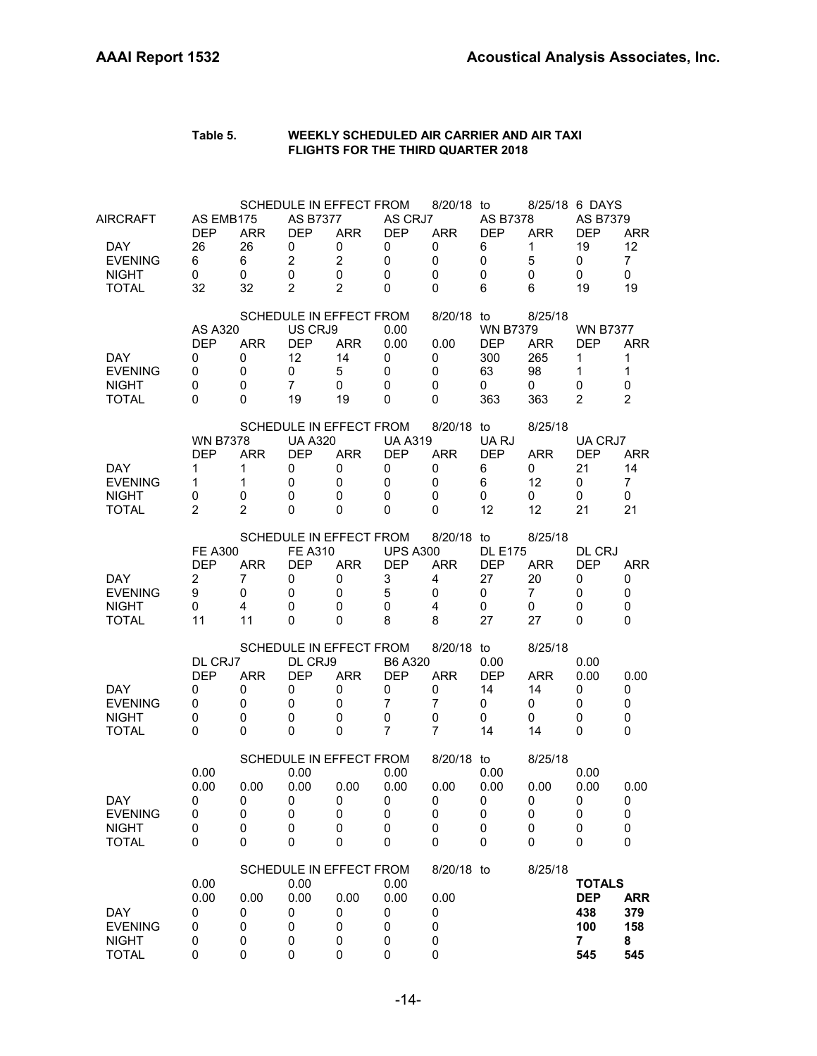| <b>DAY</b><br><b>EVENING</b><br><b>NIGHT</b><br><b>TOTAL</b>       | 0.00<br>0.00<br>0<br>0<br>0<br>0                               | 0.00<br>0<br>0<br>0<br>0                    | 0.00<br>0.00<br>0<br>0<br>0<br>0                                                                 | 0.00<br>0<br>0<br>0<br>$\mathbf 0$                       | 0.00<br>0.00<br>0<br>0<br>0<br>0                           | 0.00<br>0<br>0<br>0<br>0                                               |                                                        |                                                | <b>TOTALS</b><br><b>DEP</b><br>438<br>100<br>7<br>545          | <b>ARR</b><br>379<br>158<br>8<br>545          |
|--------------------------------------------------------------------|----------------------------------------------------------------|---------------------------------------------|--------------------------------------------------------------------------------------------------|----------------------------------------------------------|------------------------------------------------------------|------------------------------------------------------------------------|--------------------------------------------------------|------------------------------------------------|----------------------------------------------------------------|-----------------------------------------------|
| DAY<br><b>EVENING</b><br><b>NIGHT</b><br><b>TOTAL</b>              | 0.00<br>0.00<br>0<br>0<br>0<br>0                               | 0.00<br>0<br>0<br>0<br>0                    | SCHEDULE IN EFFECT FROM<br>0.00<br>0.00<br>0<br>0<br>0<br>$\mathbf 0$<br>SCHEDULE IN EFFECT FROM | 0.00<br>0<br>0<br>$\mathbf 0$<br>0                       | 0.00<br>0.00<br>0<br>0<br>0<br>0                           | 8/20/18 to<br>0.00<br>0<br>0<br>0<br>0<br>8/20/18 to                   | 0.00<br>0.00<br>0<br>$\pmb{0}$<br>$\pmb{0}$<br>0       | 8/25/18<br>0.00<br>0<br>0<br>0<br>0<br>8/25/18 | 0.00<br>0.00<br>0<br>0<br>0<br>0                               | 0.00<br>0<br>0<br>0<br>0                      |
| DAY.<br><b>EVENING</b><br><b>NIGHT</b><br><b>TOTAL</b>             | DL CRJ7<br><b>DEP</b><br>0<br>0<br>0<br>0                      | <b>ARR</b><br>0<br>0<br>0<br>0              | SCHEDULE IN EFFECT FROM<br>DL CRJ9<br><b>DEP</b><br>0<br>0<br>0<br>0                             | <b>ARR</b><br>0<br>0<br>0<br>$\Omega$                    | B6 A320<br><b>DEP</b><br>0<br>7<br>0<br>$\overline{7}$     | 8/20/18 to<br><b>ARR</b><br>0<br>$\overline{7}$<br>0<br>$\overline{7}$ | 0.00<br><b>DEP</b><br>14<br>0<br>0<br>14               | 8/25/18<br><b>ARR</b><br>14<br>0<br>0<br>14    | 0.00<br>0.00<br>0<br>0<br>0<br>0                               | 0.00<br>0<br>0<br>0<br>0                      |
| DAY.<br><b>EVENING</b><br><b>NIGHT</b><br><b>TOTAL</b>             | <b>FE A300</b><br><b>DEP</b><br>2<br>9<br>0<br>11              | <b>ARR</b><br>7<br>0<br>4<br>11             | SCHEDULE IN EFFECT FROM<br><b>FE A310</b><br><b>DEP</b><br>0<br>0<br>0<br>0                      | <b>ARR</b><br>0<br>0<br>0<br>$\Omega$                    | <b>UPS A300</b><br><b>DEP</b><br>3<br>5<br>0<br>8          | 8/20/18 to<br><b>ARR</b><br>4<br>0<br>$\overline{4}$<br>8              | <b>DL E175</b><br><b>DEP</b><br>27<br>0<br>0<br>27     | 8/25/18<br><b>ARR</b><br>20<br>7<br>0<br>27    | DL CRJ<br><b>DEP</b><br>0<br>0<br>0<br>0                       | <b>ARR</b><br>0<br>0<br>0<br>0                |
| <b>DAY</b><br><b>EVENING</b><br><b>NIGHT</b><br><b>TOTAL</b>       | <b>WN B7378</b><br><b>DEP</b><br>1<br>1<br>0<br>$\overline{2}$ | <b>ARR</b><br>1<br>1<br>0<br>$\overline{2}$ | SCHEDULE IN EFFECT FROM<br><b>UA A320</b><br><b>DEP</b><br>0<br>0<br>0<br>0                      | <b>ARR</b><br>0<br>0<br>0<br>0                           | <b>UA A319</b><br><b>DEP</b><br>0<br>0<br>0<br>0           | 8/20/18 to<br><b>ARR</b><br>0<br>0<br>0<br>0                           | UA RJ<br><b>DEP</b><br>6<br>6<br>0<br>12               | 8/25/18<br><b>ARR</b><br>0<br>12<br>0<br>12    | UA CRJ7<br><b>DEP</b><br>21<br>0<br>0<br>21                    | <b>ARR</b><br>14<br>7<br>0<br>21              |
| DAY.<br><b>EVENING</b><br><b>NIGHT</b><br><b>TOTAL</b>             | AS A320<br><b>DEP</b><br>0<br>0<br>0<br>0                      | <b>ARR</b><br>0<br>0<br>0<br>0              | SCHEDULE IN EFFECT FROM<br>US CRJ9<br><b>DEP</b><br>12<br>0<br>$\overline{7}$<br>19              | <b>ARR</b><br>14<br>5<br>0<br>19                         | 0.00<br>0.00<br>0<br>0<br>0<br>0                           | 8/20/18 to<br>0.00<br>0<br>0<br>0<br>0                                 | <b>WN B7379</b><br><b>DEP</b><br>300<br>63<br>0<br>363 | 8/25/18<br><b>ARR</b><br>265<br>98<br>0<br>363 | <b>WN B7377</b><br><b>DFP</b><br>1<br>1<br>0<br>$\overline{2}$ | <b>ARR</b><br>1<br>1<br>0<br>$\overline{2}$   |
| AIRCRAFT<br>DAY.<br><b>EVENING</b><br><b>NIGHT</b><br><b>TOTAL</b> | AS EMB175<br><b>DEP</b><br>26<br>6<br>0<br>32                  | <b>ARR</b><br>26<br>6<br>0<br>32            | SCHEDULE IN EFFECT FROM<br>AS B7377<br><b>DEP</b><br>0<br>$\overline{2}$<br>$\mathbf 0$<br>2     | <b>ARR</b><br>0<br>$\overline{2}$<br>0<br>$\overline{2}$ | AS CRJ7<br><b>DEP</b><br>0<br>$\mathbf 0$<br>0<br>$\Omega$ | 8/20/18 to<br><b>ARR</b><br>0<br>0<br>0<br>0                           | <b>AS B7378</b><br><b>DEP</b><br>6<br>0<br>0<br>6      | <b>ARR</b><br>1<br>5<br>0<br>6                 | 8/25/18 6 DAYS<br>AS B7379<br><b>DEP</b><br>19<br>0<br>0<br>19 | <b>ARR</b><br>12<br>$\overline{7}$<br>0<br>19 |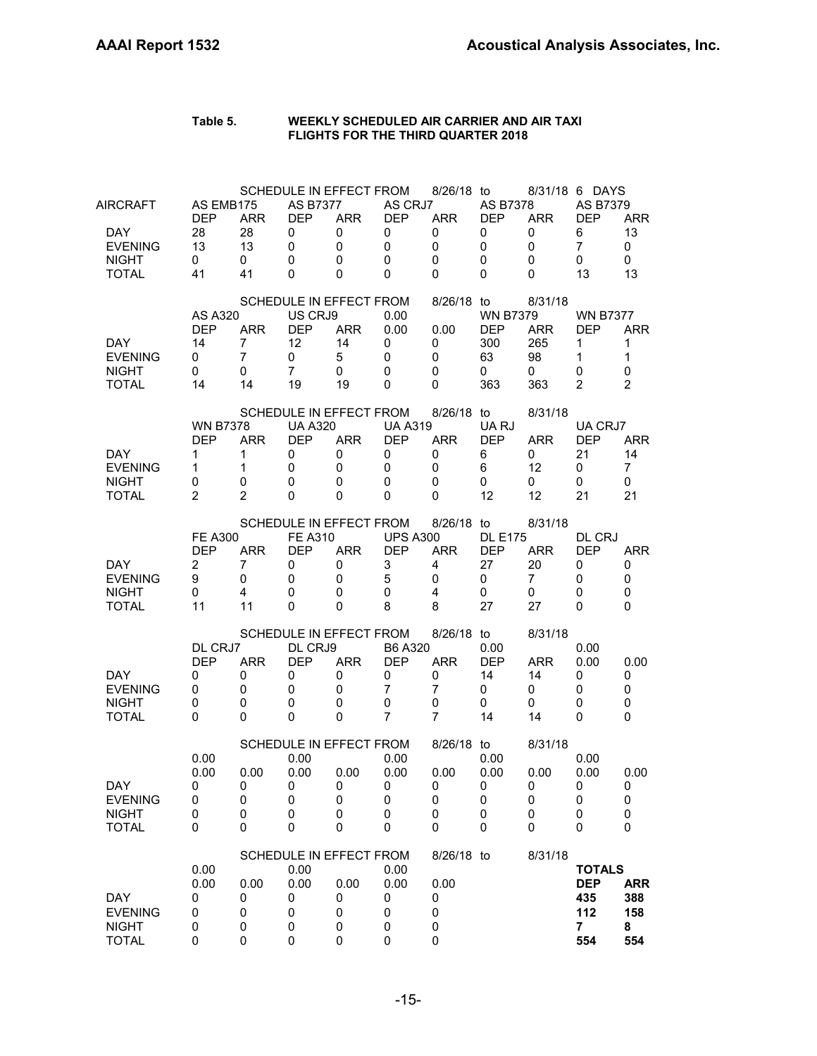| AIRCRAFT<br>DAY.<br><b>EVENING</b><br><b>NIGHT</b><br><b>TOTAL</b> | AS EMB175<br><b>DEP</b><br>28<br>13<br>0<br>41                 | <b>ARR</b><br>28<br>13<br>0<br>41            | <b>AS B7377</b><br><b>DEP</b><br>0<br>$\mathbf 0$<br>0<br>0 | SCHEDULE IN EFFECT FROM<br><b>ARR</b><br>0<br>0<br>0<br>0        | AS CRJ7<br><b>DEP</b><br>0<br>0<br>0<br>$\Omega$       | 8/26/18 to<br><b>ARR</b><br>0<br>0<br>0<br>0              | AS B7378<br><b>DEP</b><br>0<br>0<br>0<br>0             | <b>ARR</b><br>0<br>0<br>0<br>0                 | 8/31/18 6 DAYS<br><b>AS B7379</b><br><b>DEP</b><br>6<br>$\overline{7}$<br>0<br>13 | <b>ARR</b><br>13<br>0<br>0<br>13          |
|--------------------------------------------------------------------|----------------------------------------------------------------|----------------------------------------------|-------------------------------------------------------------|------------------------------------------------------------------|--------------------------------------------------------|-----------------------------------------------------------|--------------------------------------------------------|------------------------------------------------|-----------------------------------------------------------------------------------|-------------------------------------------|
| <b>DAY</b><br><b>EVENING</b><br><b>NIGHT</b><br><b>TOTAL</b>       | AS A320<br><b>DEP</b><br>14<br>0<br>0<br>14                    | <b>ARR</b><br>7<br>$\overline{7}$<br>0<br>14 | US CRJ9<br><b>DEP</b><br>12<br>0<br>$\overline{7}$<br>19    | SCHEDULE IN EFFECT FROM<br><b>ARR</b><br>14<br>5<br>0<br>19      | 0.00<br>0.00<br>0<br>0<br>0<br>0                       | 8/26/18 to<br>0.00<br>0<br>0<br>0<br>0                    | <b>WN B7379</b><br><b>DEP</b><br>300<br>63<br>0<br>363 | 8/31/18<br><b>ARR</b><br>265<br>98<br>0<br>363 | <b>WN B7377</b><br><b>DEP</b><br>$\mathbf{1}$<br>1<br>0<br>$\overline{2}$         | <b>ARR</b><br>1<br>$\mathbf{1}$<br>0<br>2 |
| <b>DAY</b><br><b>EVENING</b><br><b>NIGHT</b><br><b>TOTAL</b>       | <b>WN B7378</b><br><b>DEP</b><br>1<br>1<br>0<br>$\overline{2}$ | <b>ARR</b><br>1<br>1<br>0<br>$\overline{2}$  | <b>UA A320</b><br><b>DEP</b><br>0<br>0<br>0<br>0            | SCHEDULE IN EFFECT FROM<br><b>ARR</b><br>0<br>0<br>0<br>0        | <b>UA A319</b><br><b>DEP</b><br>0<br>0<br>0<br>0       | 8/26/18 to<br><b>ARR</b><br>0<br>0<br>0<br>0              | UA RJ<br><b>DEP</b><br>6<br>6<br>0<br>12               | 8/31/18<br><b>ARR</b><br>0<br>12<br>0<br>12    | UA CRJ7<br><b>DEP</b><br>21<br>0<br>0<br>21                                       | <b>ARR</b><br>14<br>7<br>0<br>21          |
| DAY.<br><b>EVENING</b><br><b>NIGHT</b><br><b>TOTAL</b>             | <b>FE A300</b><br><b>DEP</b><br>$\overline{c}$<br>9<br>0<br>11 | <b>ARR</b><br>7<br>0<br>4<br>11              | <b>FE A310</b><br><b>DEP</b><br>0<br>0<br>0<br>$\Omega$     | SCHEDULE IN EFFECT FROM<br><b>ARR</b><br>0<br>0<br>0<br>$\Omega$ | <b>UPS A300</b><br><b>DEP</b><br>3<br>5<br>0<br>8      | 8/26/18 to<br><b>ARR</b><br>4<br>0<br>$\overline{4}$<br>8 | <b>DL E175</b><br><b>DEP</b><br>27<br>0<br>0<br>27     | 8/31/18<br><b>ARR</b><br>20<br>7<br>0<br>27    | DL CRJ<br><b>DEP</b><br>0<br>0<br>0<br>0                                          | <b>ARR</b><br>0<br>0<br>0<br>0            |
| DAY.<br><b>EVENING</b><br><b>NIGHT</b><br><b>TOTAL</b>             | DL CRJ7<br><b>DEP</b><br>0<br>0<br>0<br>0                      | <b>ARR</b><br>0<br>0<br>0<br>0               | DL CRJ9<br><b>DEP</b><br>0<br>0<br>0<br>0                   | SCHEDULE IN EFFECT FROM<br><b>ARR</b><br>0<br>0<br>0<br>0        | B6 A320<br><b>DEP</b><br>0<br>7<br>0<br>$\overline{7}$ | 8/26/18 to<br><b>ARR</b><br>0<br>7<br>0<br>$\overline{7}$ | 0.00<br><b>DEP</b><br>14<br>0<br>0<br>14               | 8/31/18<br><b>ARR</b><br>14<br>0<br>0<br>14    | 0.00<br>0.00<br>0<br>0<br>0<br>0                                                  | 0.00<br>0<br>0<br>0<br>0                  |
| <b>DAY</b><br><b>EVENING</b><br><b>NIGHT</b><br><b>TOTAL</b>       | 0.00<br>0.00<br>U<br>0<br>0<br>0                               | 0.00<br>U<br>$\pmb{0}$<br>0<br>0             | 0.00<br>0.00<br>U<br>$\pmb{0}$<br>0<br>0                    | SCHEDULE IN EFFECT FROM<br>0.00<br>U<br>0<br>0<br>0              | 0.00<br>0.00<br>U<br>0<br>0<br>0                       | 8/26/18 to<br>0.00<br>U<br>0<br>0<br>0                    | 0.00<br>0.00<br>U<br>0<br>0<br>0                       | 8/31/18<br>0.00<br>U<br>0<br>0<br>0            | 0.00<br>0.00<br>U<br>0<br>0<br>$\Omega$                                           | 0.00<br>U<br>0<br>0<br>0                  |
| <b>DAY</b><br><b>EVENING</b><br><b>NIGHT</b><br><b>TOTAL</b>       | 0.00<br>0.00<br>0<br>0<br>0<br>0                               | 0.00<br>0<br>0<br>0<br>0                     | 0.00<br>0.00<br>0<br>0<br>0<br>0                            | SCHEDULE IN EFFECT FROM<br>0.00<br>0<br>0<br>0<br>0              | 0.00<br>0.00<br>0<br>0<br>0<br>0                       | 8/26/18 to<br>0.00<br>0<br>0<br>0<br>0                    |                                                        | 8/31/18                                        | <b>TOTALS</b><br><b>DEP</b><br>435<br>112<br>7<br>554                             | <b>ARR</b><br>388<br>158<br>8<br>554      |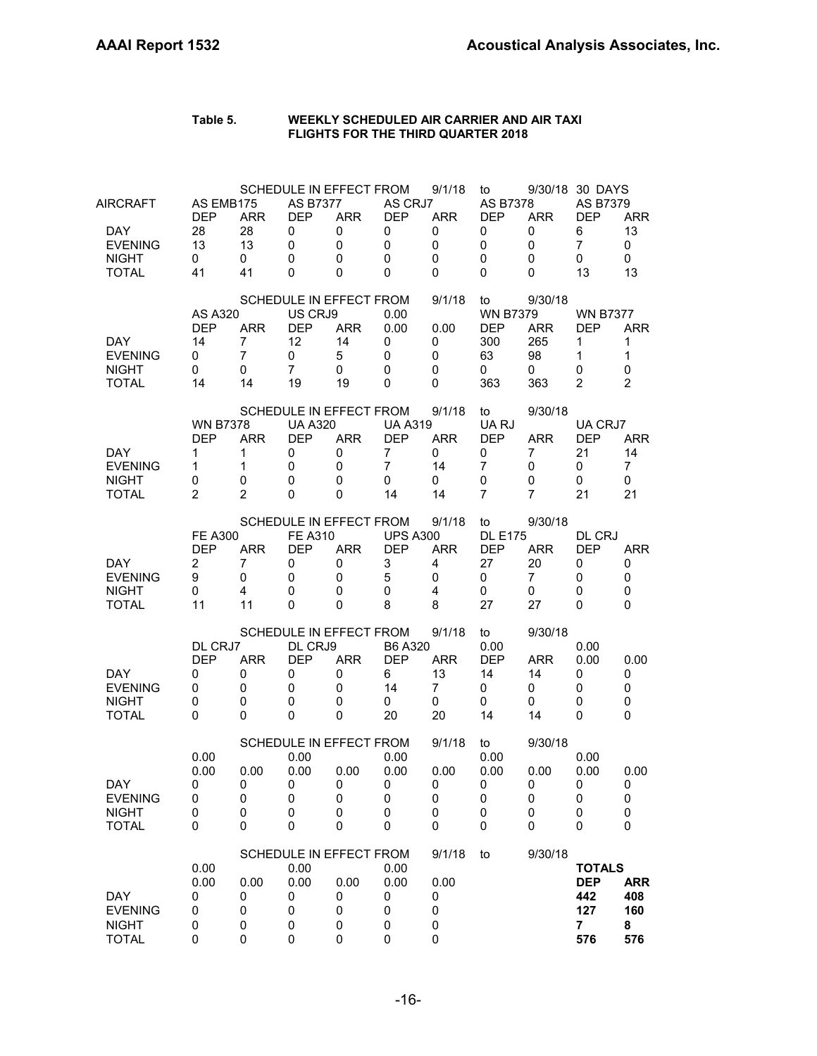| <b>DAY</b><br><b>EVENING</b><br><b>NIGHT</b><br><b>TOTAL</b>       | 0.00<br>0.00<br>0<br>0<br>0<br>0                               | 0.00<br>0<br>0<br>0<br>0                     | 0.00<br>0.00<br>0<br>0<br>0<br>0                                                       | 0.00<br>0<br>0<br>0<br>0         | 0.00<br>0.00<br>0<br>0<br>0<br>0                               | 0.00<br>0<br>0<br>0<br>0                           |                                                              |                                                        | <b>TOTALS</b><br><b>DEP</b><br>442<br>127<br>7<br>576                              | <b>ARR</b><br>408<br>160<br>8<br>576      |
|--------------------------------------------------------------------|----------------------------------------------------------------|----------------------------------------------|----------------------------------------------------------------------------------------|----------------------------------|----------------------------------------------------------------|----------------------------------------------------|--------------------------------------------------------------|--------------------------------------------------------|------------------------------------------------------------------------------------|-------------------------------------------|
|                                                                    |                                                                |                                              | SCHEDULE IN EFFECT FROM                                                                |                                  |                                                                | 9/1/18                                             | to                                                           | 9/30/18                                                |                                                                                    |                                           |
| DAY<br><b>EVENING</b><br><b>NIGHT</b><br><b>TOTAL</b>              | 0.00<br>0.00<br>U<br>0<br>0<br>0                               | 0.00<br>U<br>$\pmb{0}$<br>0<br>0             | SCHEDULE IN EFFECT FROM<br>0.00<br>0.00<br>U<br>$\pmb{0}$<br>$\pmb{0}$<br>0            | 0.00<br>U<br>0<br>0<br>0         | 0.00<br>0.00<br>U<br>0<br>0<br>0                               | 9/1/18<br>0.00<br>U<br>0<br>0<br>0                 | to<br>0.00<br>0.00<br>U<br>$\pmb{0}$<br>0<br>0               | 9/30/18<br>0.00<br>U<br>0<br>0<br>0                    | 0.00<br>0.00<br>U<br>0<br>0<br>0                                                   | 0.00<br>U<br>0<br>0<br>0                  |
| DAY.<br><b>EVENING</b><br><b>NIGHT</b><br><b>TOTAL</b>             | DL CRJ7<br><b>DEP</b><br>0<br>0<br>0<br>0                      | <b>ARR</b><br>0<br>0<br>0<br>0               | SCHEDULE IN EFFECT FROM<br>DL CRJ9<br><b>DEP</b><br>0<br>0<br>0<br>0                   | <b>ARR</b><br>0<br>0<br>0<br>0   | B6 A320<br><b>DEP</b><br>6<br>14<br>0<br>20                    | 9/1/18<br><b>ARR</b><br>13<br>7<br>0<br>20         | to<br>0.00<br><b>DEP</b><br>14<br>0<br>0<br>14               | 9/30/18<br>ARR<br>14<br>0<br>0<br>14                   | 0.00<br>0.00<br>0<br>0<br>0<br>0                                                   | 0.00<br>0<br>0<br>0<br>0                  |
| DAY.<br><b>EVENING</b><br><b>NIGHT</b><br><b>TOTAL</b>             | <b>FE A300</b><br><b>DEP</b><br>$\overline{c}$<br>9<br>0<br>11 | <b>ARR</b><br>7<br>0<br>4<br>11              | SCHEDULE IN EFFECT FROM<br><b>FE A310</b><br><b>DEP</b><br>0<br>0<br>0<br>$\Omega$     | <b>ARR</b><br>0<br>0<br>0<br>0   | <b>UPS A300</b><br><b>DEP</b><br>3<br>5<br>0<br>8              | 9/1/18<br><b>ARR</b><br>4<br>0<br>4<br>8           | to<br><b>DL E175</b><br><b>DEP</b><br>27<br>0<br>0<br>27     | 9/30/18<br><b>ARR</b><br>20<br>7<br>0<br>27            | DL CRJ<br><b>DEP</b><br>0<br>0<br>0<br>0                                           | <b>ARR</b><br>0<br>0<br>0<br>0            |
| <b>DAY</b><br><b>EVENING</b><br><b>NIGHT</b><br><b>TOTAL</b>       | <b>WN B7378</b><br><b>DEP</b><br>1<br>1<br>0<br>$\overline{2}$ | <b>ARR</b><br>1<br>1<br>0<br>$\overline{2}$  | SCHEDULE IN EFFECT FROM<br><b>UA A320</b><br><b>DEP</b><br>0<br>0<br>0<br>0            | <b>ARR</b><br>0<br>0<br>0<br>0   | <b>UA A319</b><br><b>DEP</b><br>$\overline{7}$<br>7<br>0<br>14 | 9/1/18<br><b>ARR</b><br>0<br>14<br>0<br>14         | to<br>UA RJ<br><b>DEP</b><br>0<br>7<br>0<br>$\overline{7}$   | 9/30/18<br><b>ARR</b><br>7<br>0<br>0<br>$\overline{7}$ | UA CRJ7<br><b>DEP</b><br>21<br>0<br>0<br>21                                        | <b>ARR</b><br>14<br>7<br>0<br>21          |
| <b>DAY</b><br><b>EVENING</b><br><b>NIGHT</b><br><b>TOTAL</b>       | <b>AS A320</b><br><b>DEP</b><br>14<br>0<br>0<br>14             | <b>ARR</b><br>7<br>$\overline{7}$<br>0<br>14 | SCHEDULE IN EFFECT FROM<br>US CRJ9<br><b>DEP</b><br>12<br>0<br>$\overline{7}$<br>19    | <b>ARR</b><br>14<br>5<br>0<br>19 | 0.00<br>0.00<br>0<br>0<br>0<br>0                               | 9/1/18<br>0.00<br>0<br>0<br>0<br>0                 | to<br><b>WN B7379</b><br><b>DEP</b><br>300<br>63<br>0<br>363 | 9/30/18<br><b>ARR</b><br>265<br>98<br>0<br>363         | <b>WN B7377</b><br><b>DEP</b><br>1<br>1<br>0<br>$\overline{2}$                     | <b>ARR</b><br>1<br>$\mathbf{1}$<br>0<br>2 |
| AIRCRAFT<br>DAY.<br><b>EVENING</b><br><b>NIGHT</b><br><b>TOTAL</b> | AS EMB175<br><b>DEP</b><br>28<br>13<br>0<br>41                 | <b>ARR</b><br>28<br>13<br>0<br>41            | SCHEDULE IN EFFECT FROM<br><b>AS B7377</b><br><b>DEP</b><br>0<br>$\mathbf 0$<br>0<br>0 | <b>ARR</b><br>0<br>0<br>0<br>0   | AS CRJ7<br><b>DEP</b><br>0<br>$\mathbf 0$<br>0<br>$\Omega$     | 9/1/18<br><b>ARR</b><br>0<br>$\mathbf 0$<br>0<br>0 | to<br>AS B7378<br><b>DEP</b><br>0<br>0<br>0<br>0             | <b>ARR</b><br>0<br>$\mathbf 0$<br>0<br>0               | 9/30/18 30 DAYS<br><b>AS B7379</b><br><b>DEP</b><br>6<br>$\overline{7}$<br>0<br>13 | <b>ARR</b><br>13<br>0<br>0<br>13          |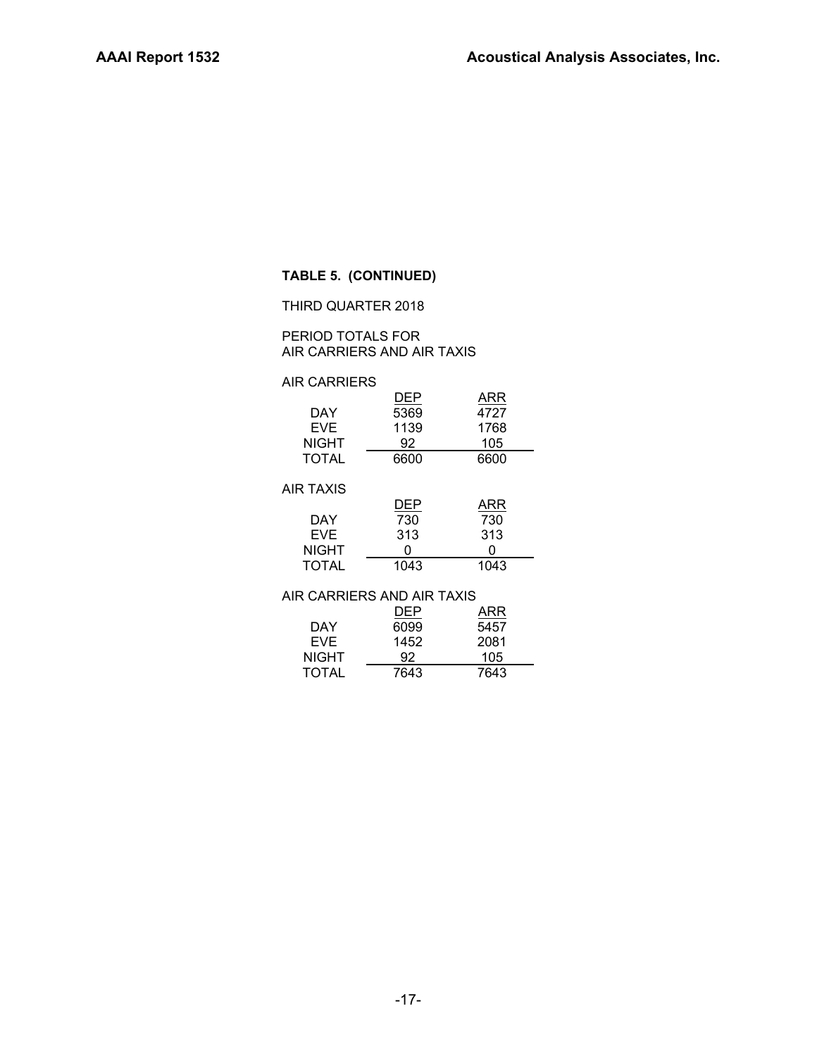#### **TABLE 5. (CONTINUED)**

THIRD QUARTER 2018

#### PERIOD TOTALS FOR AIR CARRIERS AND AIR TAXIS

#### AIR CARRIERS

|                  | <b>DEP</b> | ARR  |  |
|------------------|------------|------|--|
| DAY              | 5369       | 4727 |  |
| EVE.             | 1139       | 1768 |  |
| <b>NIGHT</b>     | 92         | 105  |  |
| <b>TOTAL</b>     | 6600       | 6600 |  |
|                  |            |      |  |
| <b>AIR TAXIS</b> |            |      |  |
|                  | ---        | .    |  |

|              | DEP  | ARR  |
|--------------|------|------|
| DAY          | 730  | 730  |
| <b>EVF</b>   | 313  | 313  |
| <b>NIGHT</b> | 0    | n    |
| <b>TOTAL</b> | 1043 | 1043 |

#### AIR CARRIERS AND AIR TAXIS

|              | DEP  | ARR  |  |  |  |  |  |
|--------------|------|------|--|--|--|--|--|
| DAY          | 6099 | 5457 |  |  |  |  |  |
| <b>EVF</b>   | 1452 | 2081 |  |  |  |  |  |
| <b>NIGHT</b> | 92   | 105  |  |  |  |  |  |
| <b>TOTAL</b> | 7643 | 7643 |  |  |  |  |  |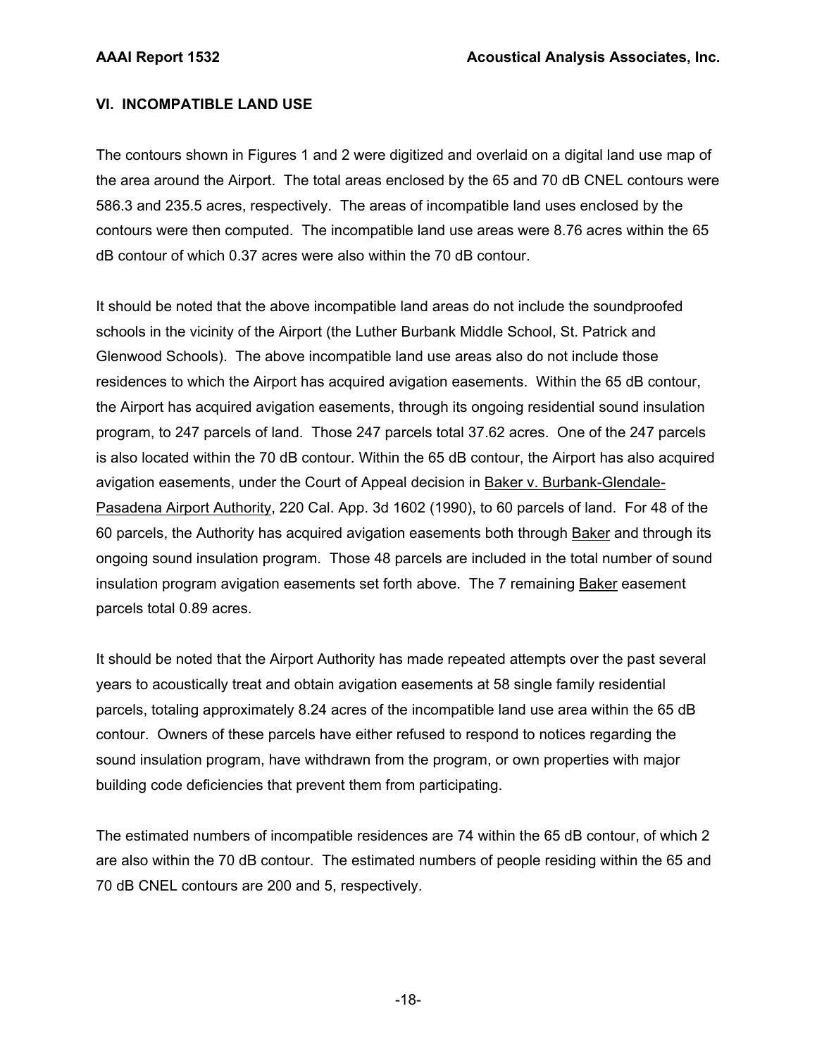## **VI. INCOMPATIBLE LAND USE**

The contours shown in Figures 1 and 2 were digitized and overlaid on a digital land use map of the area around the Airport. The total areas enclosed by the 65 and 70 dB CNEL contours were 586.3 and 235.5 acres, respectively. The areas of incompatible land uses enclosed by the contours were then computed. The incompatible land use areas were 8.76 acres within the 65 dB contour of which 0.37 acres were also within the 70 dB contour.

It should be noted that the above incompatible land areas do not include the soundproofed schools in the vicinity of the Airport (the Luther Burbank Middle School, St. Patrick and Glenwood Schools). The above incompatible land use areas also do not include those residences to which the Airport has acquired avigation easements. Within the 65 dB contour, the Airport has acquired avigation easements, through its ongoing residential sound insulation program, to 247 parcels of land. Those 247 parcels total 37.62 acres. One of the 247 parcels is also located within the 70 dB contour. Within the 65 dB contour, the Airport has also acquired avigation easements, under the Court of Appeal decision in Baker v. Burbank-Glendale-Pasadena Airport Authority, 220 Cal. App. 3d 1602 (1990), to 60 parcels of land. For 48 of the 60 parcels, the Authority has acquired avigation easements both through Baker and through its ongoing sound insulation program. Those 48 parcels are included in the total number of sound insulation program avigation easements set forth above. The 7 remaining Baker easement parcels total 0.89 acres.

It should be noted that the Airport Authority has made repeated attempts over the past several years to acoustically treat and obtain avigation easements at 58 single family residential parcels, totaling approximately 8.24 acres of the incompatible land use area within the 65 dB contour. Owners of these parcels have either refused to respond to notices regarding the sound insulation program, have withdrawn from the program, or own properties with major building code deficiencies that prevent them from participating.

The estimated numbers of incompatible residences are 74 within the 65 dB contour, of which 2 are also within the 70 dB contour. The estimated numbers of people residing within the 65 and 70 dB CNEL contours are 200 and 5, respectively.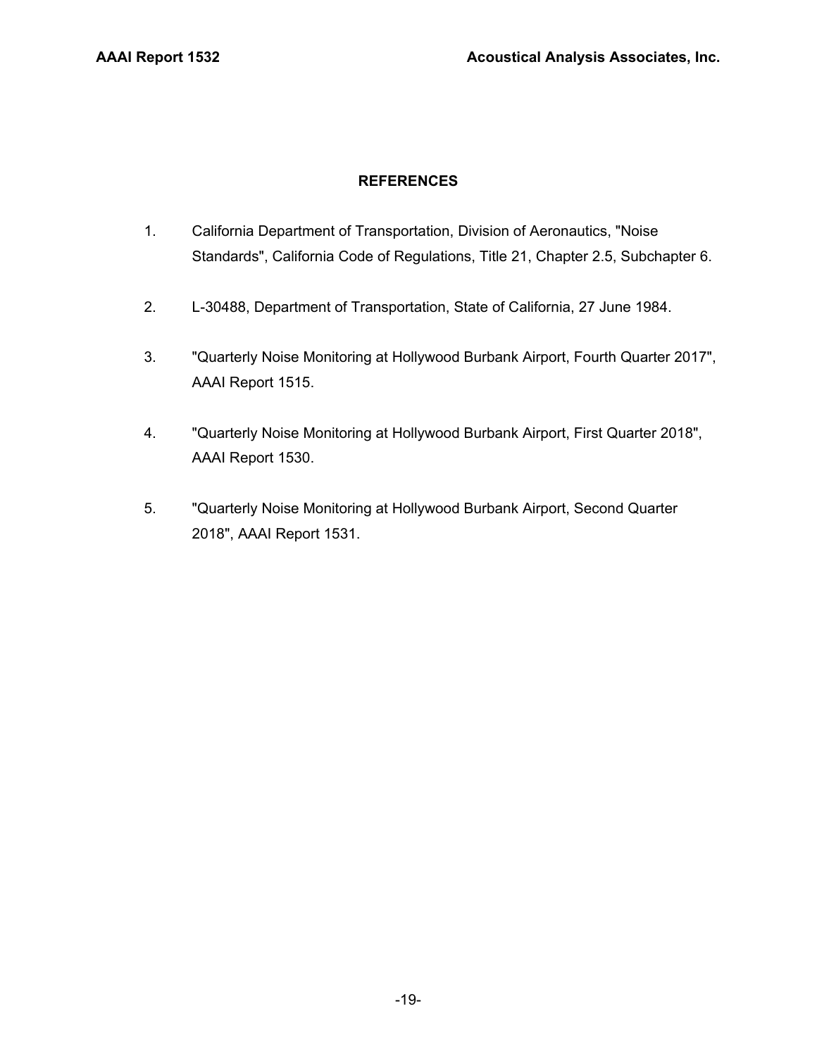## **REFERENCES**

- 1. California Department of Transportation, Division of Aeronautics, "Noise Standards", California Code of Regulations, Title 21, Chapter 2.5, Subchapter 6.
- 2. L-30488, Department of Transportation, State of California, 27 June 1984.
- 3. "Quarterly Noise Monitoring at Hollywood Burbank Airport, Fourth Quarter 2017", AAAI Report 1515.
- 4. "Quarterly Noise Monitoring at Hollywood Burbank Airport, First Quarter 2018", AAAI Report 1530.
- 5. "Quarterly Noise Monitoring at Hollywood Burbank Airport, Second Quarter 2018", AAAI Report 1531.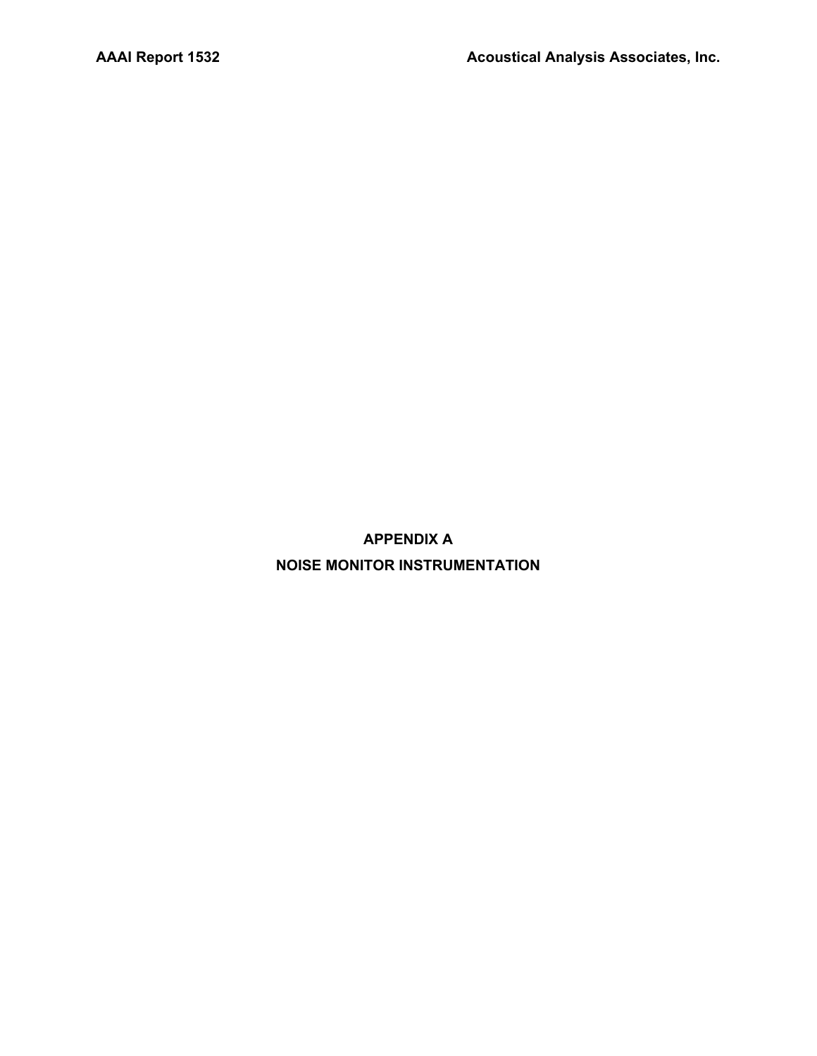**APPENDIX A NOISE MONITOR INSTRUMENTATION**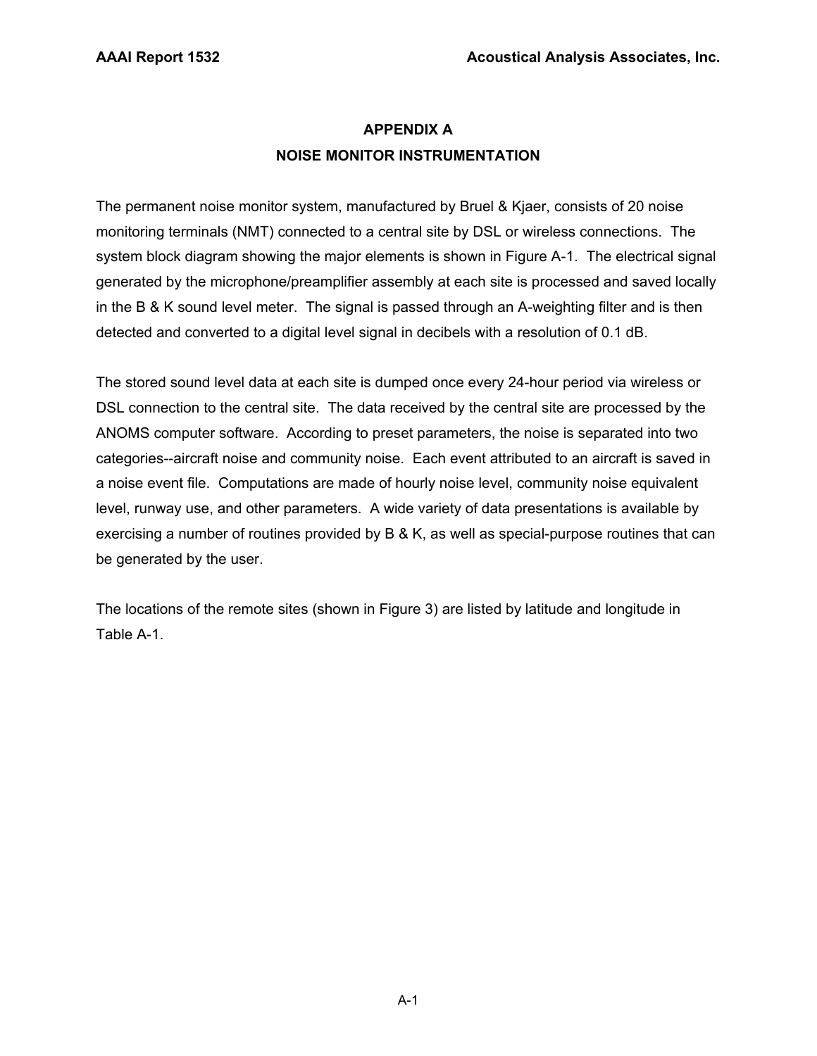# **APPENDIX A NOISE MONITOR INSTRUMENTATION**

The permanent noise monitor system, manufactured by Bruel & Kjaer, consists of 20 noise monitoring terminals (NMT) connected to a central site by DSL or wireless connections. The system block diagram showing the major elements is shown in Figure A-1. The electrical signal generated by the microphone/preamplifier assembly at each site is processed and saved locally in the B & K sound level meter. The signal is passed through an A-weighting filter and is then detected and converted to a digital level signal in decibels with a resolution of 0.1 dB.

The stored sound level data at each site is dumped once every 24-hour period via wireless or DSL connection to the central site. The data received by the central site are processed by the ANOMS computer software. According to preset parameters, the noise is separated into two categories--aircraft noise and community noise. Each event attributed to an aircraft is saved in a noise event file. Computations are made of hourly noise level, community noise equivalent level, runway use, and other parameters. A wide variety of data presentations is available by exercising a number of routines provided by B & K, as well as special-purpose routines that can be generated by the user.

The locations of the remote sites (shown in Figure 3) are listed by latitude and longitude in Table A-1.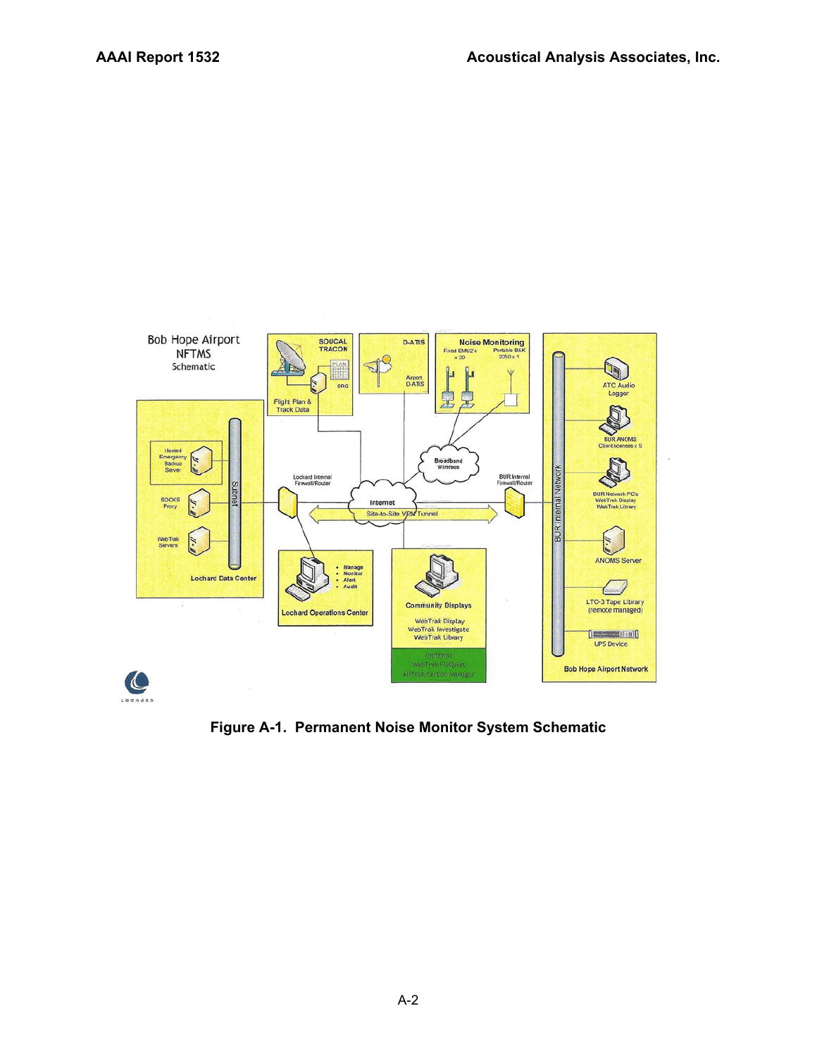

**Figure A-1. Permanent Noise Monitor System Schematic**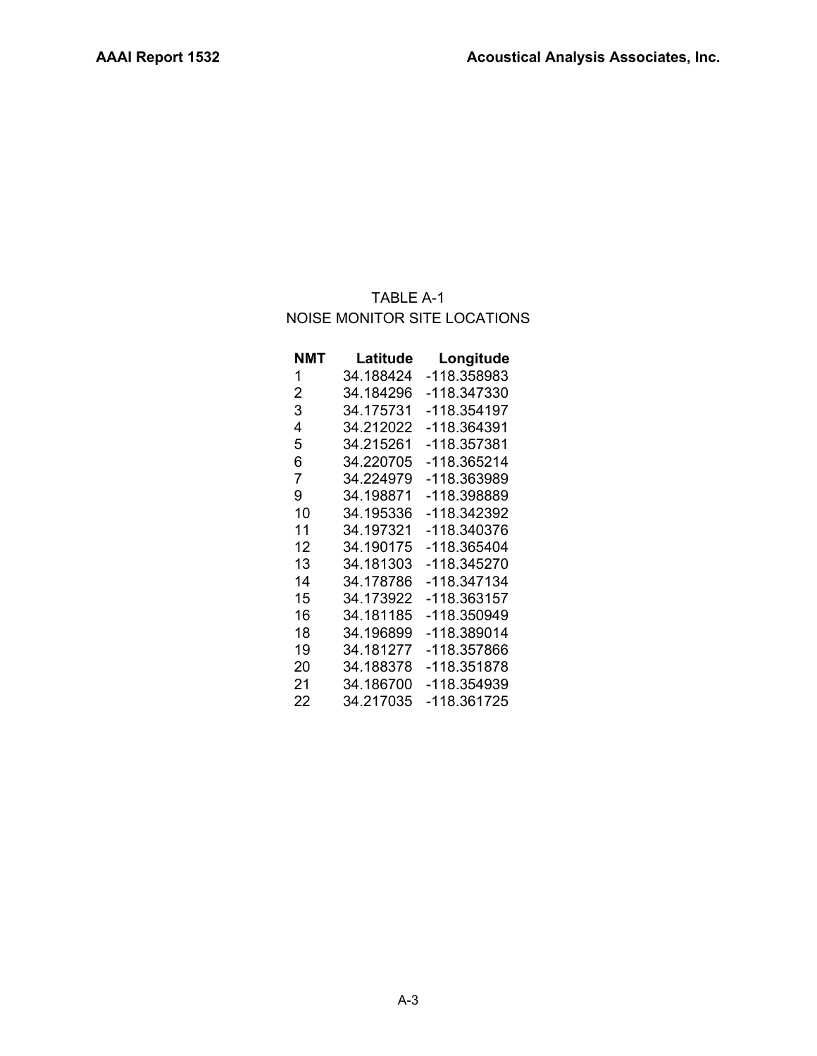# TABLE A-1 NOISE MONITOR SITE LOCATIONS

| NMT            | Latitude  | Longitude   |
|----------------|-----------|-------------|
| 1              | 34.188424 | -118.358983 |
| $\overline{2}$ | 34.184296 | -118.347330 |
| 3              | 34.175731 | -118.354197 |
| 4              | 34.212022 | -118.364391 |
| 5              | 34.215261 | -118.357381 |
| 6              | 34.220705 | -118.365214 |
| 7              | 34.224979 | -118.363989 |
| 9              | 34.198871 | -118.398889 |
| 10             | 34.195336 | -118.342392 |
| 11             | 34.197321 | -118.340376 |
| 12             | 34.190175 | -118.365404 |
| 13             | 34.181303 | -118.345270 |
| 14             | 34.178786 | -118.347134 |
| 15             | 34.173922 | -118.363157 |
| 16             | 34.181185 | -118.350949 |
| 18             | 34.196899 | -118.389014 |
| 19             | 34.181277 | -118.357866 |
| 20             | 34.188378 | -118.351878 |
| 21             | 34.186700 | -118.354939 |
| 22             | 34.217035 | -118.361725 |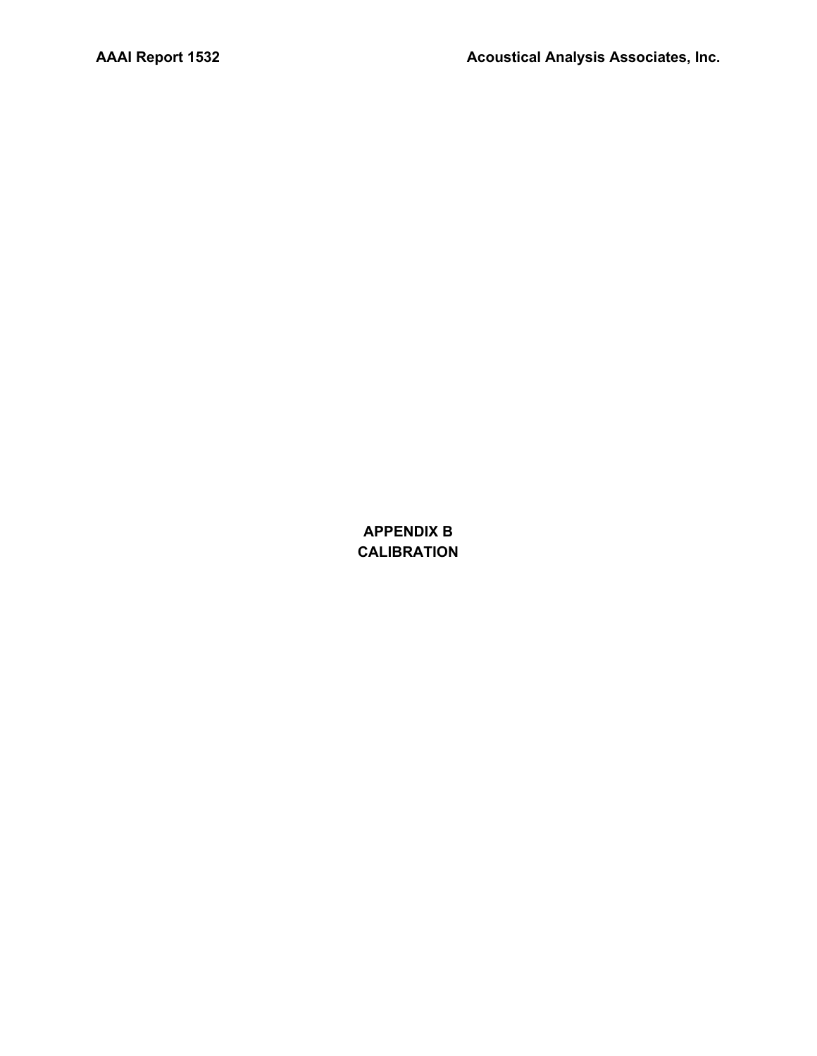**APPENDIX B CALIBRATION**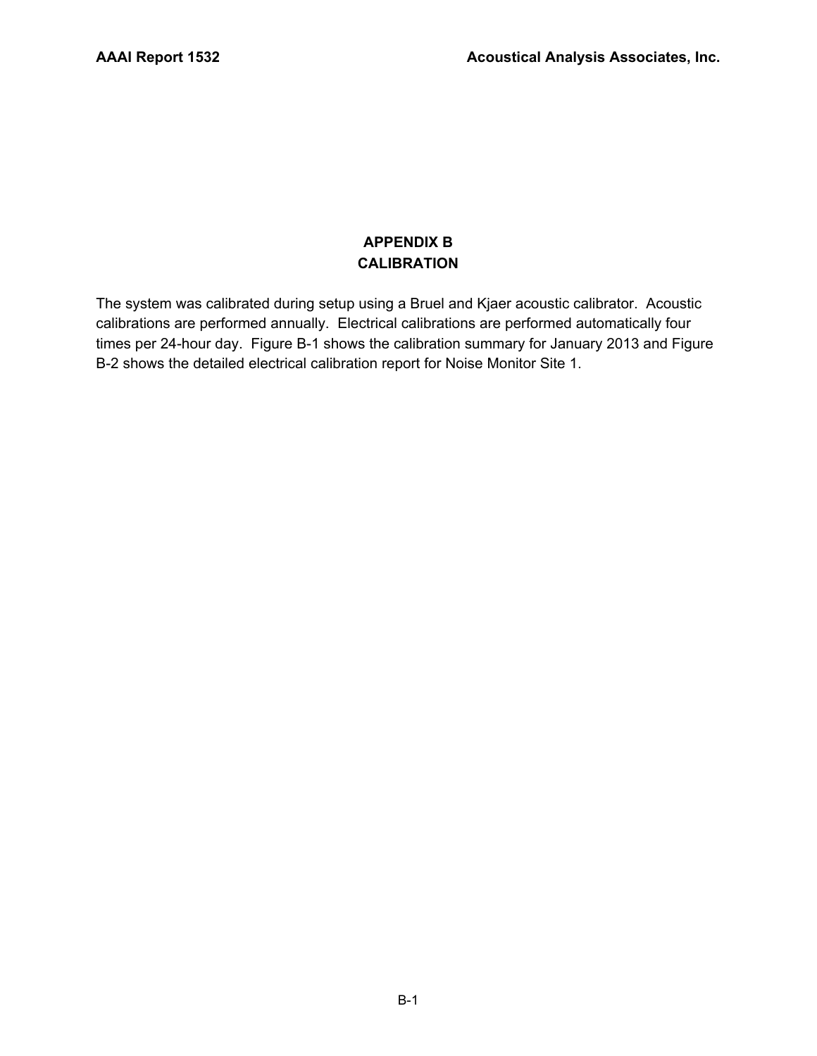# **APPENDIX B CALIBRATION**

The system was calibrated during setup using a Bruel and Kjaer acoustic calibrator. Acoustic calibrations are performed annually. Electrical calibrations are performed automatically four times per 24-hour day. Figure B-1 shows the calibration summary for January 2013 and Figure B-2 shows the detailed electrical calibration report for Noise Monitor Site 1.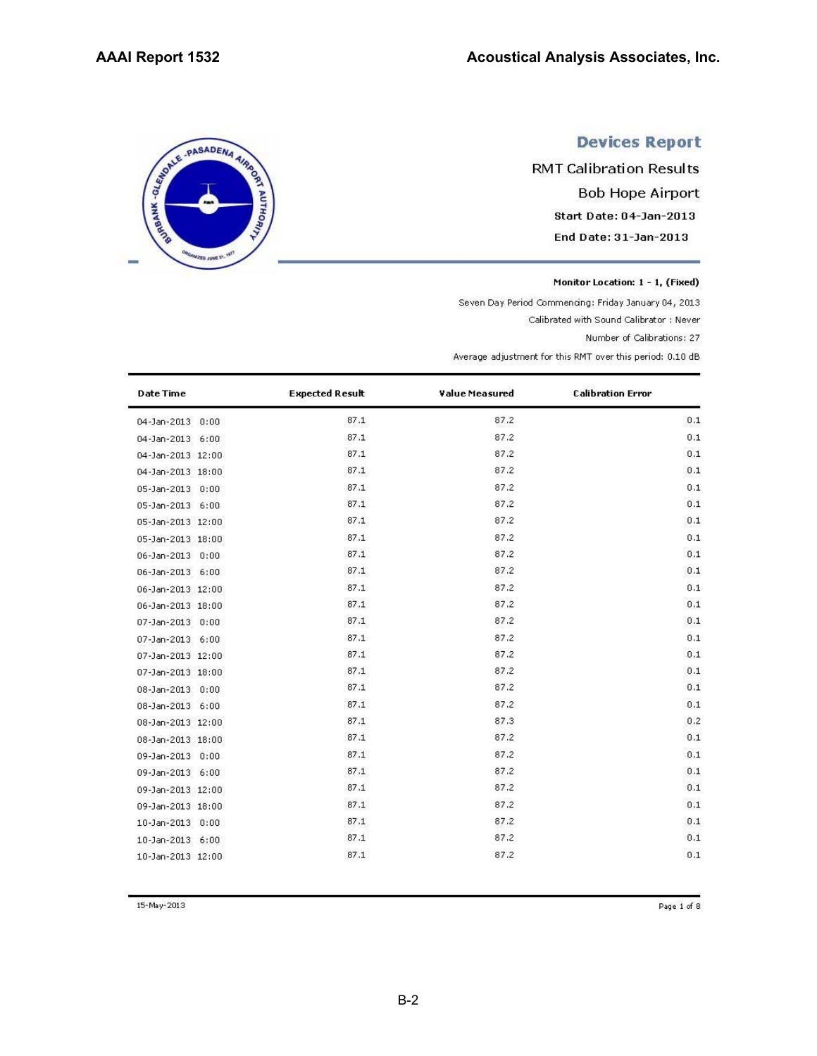SERIE - PASADENA AIRING

**ED JUNE 2** 

# **Devices Report**

**RMT Calibration Results Bob Hope Airport** Start Date: 04-Jan-2013 End Date: 31-Jan-2013

Monitor Location: 1 - 1, (Fixed)

Seven Day Period Commencing: Friday January 04, 2013

Calibrated with Sound Calibrator : Never

Number of Calibrations: 27

Average adjustment for this RMT over this period: 0.10 dB

| <b>Date Time</b>       | <b>Expected Result</b> | Value Measured | <b>Calibration Error</b> |
|------------------------|------------------------|----------------|--------------------------|
| 04-Jan-2013 0:00       | 87.1                   | 87.2           | 0.1                      |
| 04-Jan-2013 6:00       | 87.1                   | 87.2           | 0.1                      |
| 04-Jan-2013 12:00      | 87.1                   | 87.2           | 0.1                      |
| 04-Jan-2013 18:00      | 87.1                   | 87.2           | 0.1                      |
| 05-Jan-2013 0:00       | 87.1                   | 87.2           | 0.1                      |
| 05-Jan-2013 6:00       | 87.1                   | 87.2           | 0.1                      |
| 05-Jan-2013 12:00      | 87.1                   | 87.2           | 0.1                      |
| 05-Jan-2013 18:00      | 87.1                   | 87.2           | 0.1                      |
| 06-Jan-2013 0:00       | 87.1                   | 87.2           | 0.1                      |
| 06-Jan-2013 6:00       | 87.1                   | 87.2           | 0.1                      |
| 06-Jan-2013 12:00      | 87.1                   | 87.2           | 0.1                      |
| 06-Jan-2013 18:00      | 87.1                   | 87.2           | 0.1                      |
| 07-Jan-2013 0:00       | 87.1                   | 87.2           | 0.1                      |
| 07-Jan-2013 6:00       | 87.1                   | 87.2           | 0.1                      |
| 07-Jan-2013 12:00      | 87.1                   | 87.2           | 0.1                      |
| 07-Jan-2013 18:00      | 87.1                   | 87.2           | 0.1                      |
| 08-Jan-2013 0:00       | 87.1                   | 87.2           | 0.1                      |
| 08-Jan-2013 6:00       | 87.1                   | 87.2           | 0.1                      |
| 08-Jan-2013 12:00      | 87.1                   | 87.3           | 0.2                      |
| 08-Jan-2013 18:00      | 87.1                   | 87.2           | 0.1                      |
| 09-Jan-2013 0:00       | 87.1                   | 87.2           | 0.1                      |
| 09-Jan-2013 6:00       | 87.1                   | 87.2           | 0.1                      |
| 09-Jan-2013 12:00      | 87.1                   | 87.2           | 0.1                      |
| 09-Jan-2013 18:00      | 87.1                   | 87.2           | 0.1                      |
| 10-Jan-2013 0:00       | 87.1                   | 87.2           | 0.1                      |
| 10-Jan-2013 6:00       | 87.1                   | 87.2           | 0.1                      |
| $10-$ Jan-2013 $12:00$ | 87.1                   | 87.2           | 0.1                      |

15-May-2013

Page 1 of 8